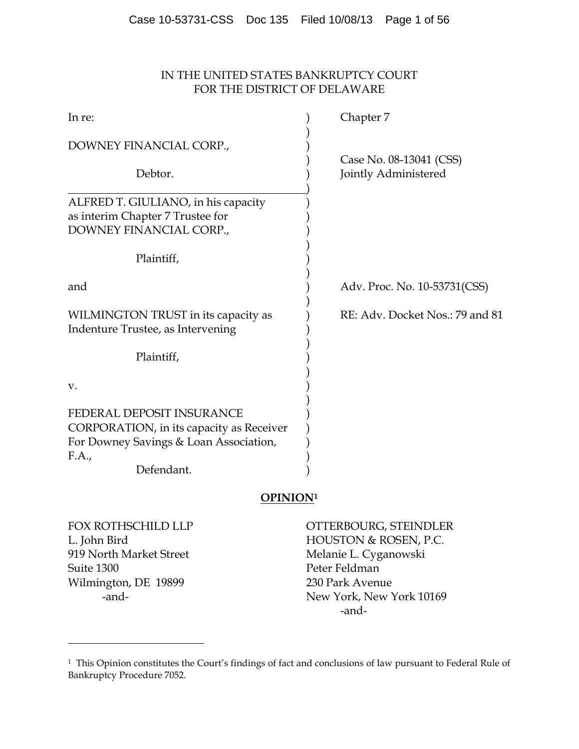# IN THE UNITED STATES BANKRUPTCY COURT FOR THE DISTRICT OF DELAWARE

| In re:                                                                                                                                 | Chapter 7                                       |  |
|----------------------------------------------------------------------------------------------------------------------------------------|-------------------------------------------------|--|
| DOWNEY FINANCIAL CORP.,                                                                                                                |                                                 |  |
| Debtor.                                                                                                                                | Case No. 08-13041 (CSS)<br>Jointly Administered |  |
| ALFRED T. GIULIANO, in his capacity<br>as interim Chapter 7 Trustee for<br>DOWNEY FINANCIAL CORP.,                                     |                                                 |  |
| Plaintiff,                                                                                                                             |                                                 |  |
| and                                                                                                                                    | Adv. Proc. No. 10-53731(CSS)                    |  |
| WILMINGTON TRUST in its capacity as<br>Indenture Trustee, as Intervening                                                               | RE: Adv. Docket Nos.: 79 and 81                 |  |
| Plaintiff,                                                                                                                             |                                                 |  |
| V.                                                                                                                                     |                                                 |  |
| FEDERAL DEPOSIT INSURANCE<br>CORPORATION, in its capacity as Receiver<br>For Downey Savings & Loan Association,<br>F.A.,<br>Defendant. |                                                 |  |

# **OPINION1**

919 North Market Street Melanie L. Cyganowski Suite 1300 Peter Feldman Wilmington, DE 19899 230 Park Avenue

 $\overline{a}$ 

FOX ROTHSCHILD LLP OTTERBOURG, STEINDLER L. John Bird HOUSTON & ROSEN, P.C. -and- New York, New York 10169 -and-

<sup>&</sup>lt;sup>1</sup> This Opinion constitutes the Court's findings of fact and conclusions of law pursuant to Federal Rule of Bankruptcy Procedure 7052.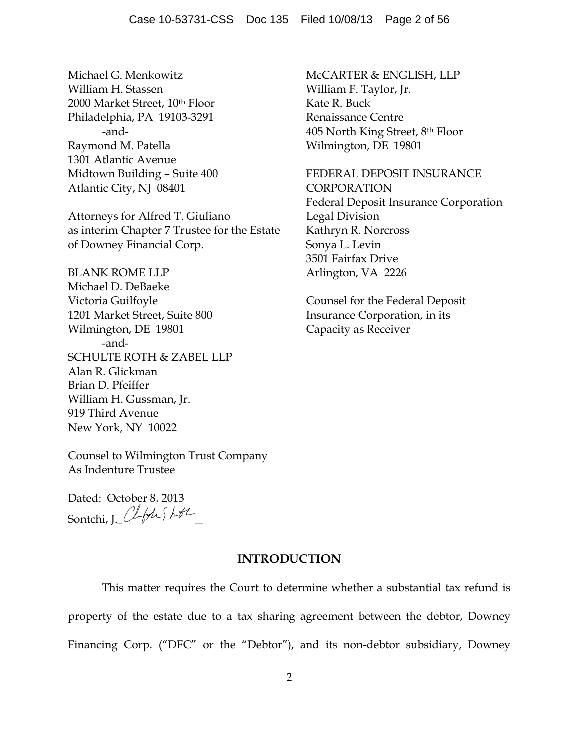Michael G. Menkowitz **McCARTER & ENGLISH, LLP** William H. Stassen William F. Taylor, Jr. 2000 Market Street, 10<sup>th</sup> Floor Kate R. Buck Philadelphia, PA 19103-3291 Renaissance Centre Raymond M. Patella Wilmington, DE 19801 1301 Atlantic Avenue Atlantic City, NJ 08401 CORPORATION

Attorneys for Alfred T. Giuliano Legal Division as interim Chapter 7 Trustee for the Estate Kathryn R. Norcross of Downey Financial Corp. Sonya L. Levin

BLANK ROME LLP Arlington, VA 2226 Michael D. DeBaeke Victoria Guilfoyle Counsel for the Federal Deposit 1201 Market Street, Suite 800 Insurance Corporation, in its Wilmington, DE 19801 Capacity as Receiver -and-SCHULTE ROTH & ZABEL LLP Alan R. Glickman Brian D. Pfeiffer William H. Gussman, Jr. 919 Third Avenue New York, NY 10022

-and- 405 North King Street, 8th Floor

Midtown Building - Suite 400 FEDERAL DEPOSIT INSURANCE Federal Deposit Insurance Corporation 3501 Fairfax Drive

Counsel to Wilmington Trust Company As Indenture Trustee

Dated: October 8, 2013 Sontchi, J. ClfAShtL

## **INTRODUCTION**

This matter requires the Court to determine whether a substantial tax refund is property of the estate due to a tax sharing agreement between the debtor, Downey Financing Corp. ("DFC" or the "Debtor"), and its non-debtor subsidiary, Downey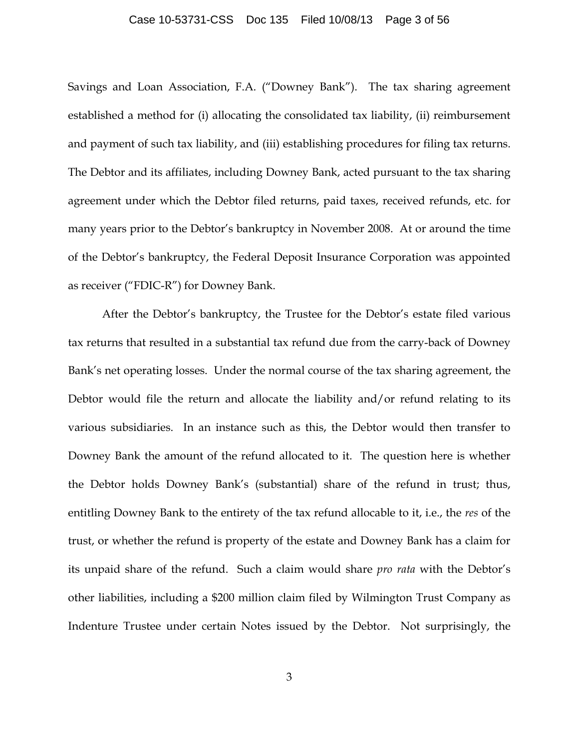#### Case 10-53731-CSS Doc 135 Filed 10/08/13 Page 3 of 56

Savings and Loan Association, F.A. ("Downey Bank"). The tax sharing agreement established a method for (i) allocating the consolidated tax liability, (ii) reimbursement and payment of such tax liability, and (iii) establishing procedures for filing tax returns. The Debtor and its affiliates, including Downey Bank, acted pursuant to the tax sharing agreement under which the Debtor filed returns, paid taxes, received refunds, etc. for many years prior to the Debtor's bankruptcy in November 2008. At or around the time of the Debtor's bankruptcy, the Federal Deposit Insurance Corporation was appointed as receiver ("FDIC-R") for Downey Bank.

After the Debtor's bankruptcy, the Trustee for the Debtor's estate filed various tax returns that resulted in a substantial tax refund due from the carry-back of Downey Bank's net operating losses. Under the normal course of the tax sharing agreement, the Debtor would file the return and allocate the liability and/or refund relating to its various subsidiaries. In an instance such as this, the Debtor would then transfer to Downey Bank the amount of the refund allocated to it. The question here is whether the Debtor holds Downey Bank's (substantial) share of the refund in trust; thus, entitling Downey Bank to the entirety of the tax refund allocable to it, i.e., the *res* of the trust, or whether the refund is property of the estate and Downey Bank has a claim for its unpaid share of the refund. Such a claim would share *pro rata* with the Debtor's other liabilities, including a \$200 million claim filed by Wilmington Trust Company as Indenture Trustee under certain Notes issued by the Debtor. Not surprisingly, the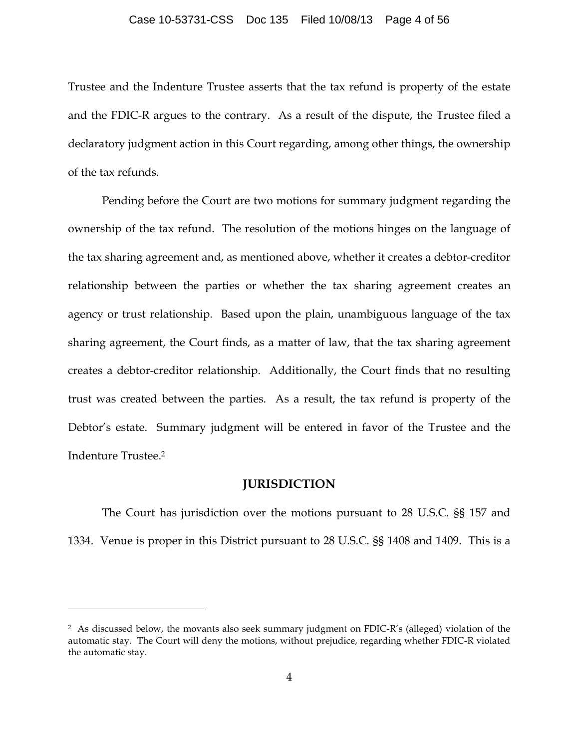#### Case 10-53731-CSS Doc 135 Filed 10/08/13 Page 4 of 56

Trustee and the Indenture Trustee asserts that the tax refund is property of the estate and the FDIC-R argues to the contrary. As a result of the dispute, the Trustee filed a declaratory judgment action in this Court regarding, among other things, the ownership of the tax refunds.

Pending before the Court are two motions for summary judgment regarding the ownership of the tax refund. The resolution of the motions hinges on the language of the tax sharing agreement and, as mentioned above, whether it creates a debtor-creditor relationship between the parties or whether the tax sharing agreement creates an agency or trust relationship. Based upon the plain, unambiguous language of the tax sharing agreement, the Court finds, as a matter of law, that the tax sharing agreement creates a debtor-creditor relationship. Additionally, the Court finds that no resulting trust was created between the parties. As a result, the tax refund is property of the Debtor's estate. Summary judgment will be entered in favor of the Trustee and the Indenture Trustee. 2

## **JURISDICTION**

The Court has jurisdiction over the motions pursuant to 28 U.S.C. §§ 157 and 1334. Venue is proper in this District pursuant to 28 U.S.C. §§ 1408 and 1409. This is a

<sup>2</sup> As discussed below, the movants also seek summary judgment on FDIC-R's (alleged) violation of the automatic stay. The Court will deny the motions, without prejudice, regarding whether FDIC-R violated the automatic stay.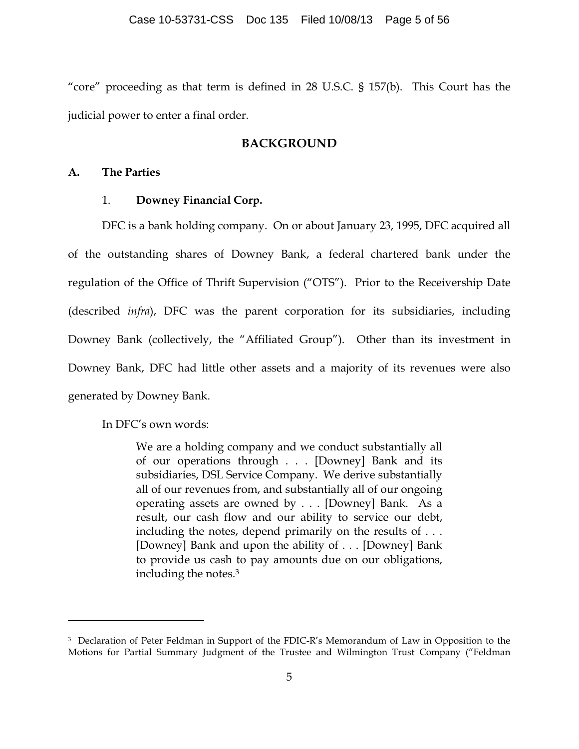"core" proceeding as that term is defined in 28 U.S.C. § 157(b). This Court has the judicial power to enter a final order.

## **BACKGROUND**

## **A. The Parties**

## 1. **Downey Financial Corp.**

DFC is a bank holding company. On or about January 23, 1995, DFC acquired all of the outstanding shares of Downey Bank, a federal chartered bank under the regulation of the Office of Thrift Supervision ("OTS"). Prior to the Receivership Date (described *infra*), DFC was the parent corporation for its subsidiaries, including Downey Bank (collectively, the "Affiliated Group"). Other than its investment in Downey Bank, DFC had little other assets and a majority of its revenues were also generated by Downey Bank.

In DFC's own words:

 $\overline{a}$ 

We are a holding company and we conduct substantially all of our operations through . . . [Downey] Bank and its subsidiaries, DSL Service Company. We derive substantially all of our revenues from, and substantially all of our ongoing operating assets are owned by . . . [Downey] Bank. As a result, our cash flow and our ability to service our debt, including the notes, depend primarily on the results of . . . [Downey] Bank and upon the ability of . . . [Downey] Bank to provide us cash to pay amounts due on our obligations, including the notes.3

<sup>3</sup> Declaration of Peter Feldman in Support of the FDIC-R's Memorandum of Law in Opposition to the Motions for Partial Summary Judgment of the Trustee and Wilmington Trust Company ("Feldman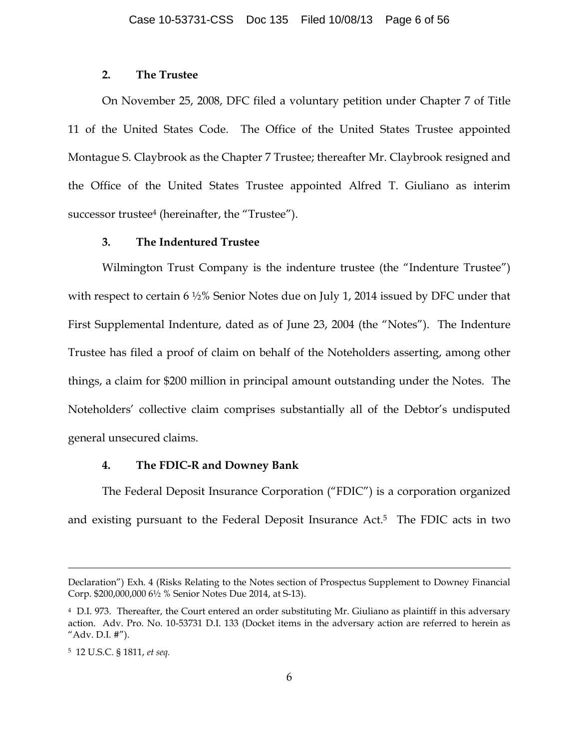## **2. The Trustee**

On November 25, 2008, DFC filed a voluntary petition under Chapter 7 of Title 11 of the United States Code. The Office of the United States Trustee appointed Montague S. Claybrook as the Chapter 7 Trustee; thereafter Mr. Claybrook resigned and the Office of the United States Trustee appointed Alfred T. Giuliano as interim successor trustee<sup>4</sup> (hereinafter, the "Trustee").

## **3. The Indentured Trustee**

Wilmington Trust Company is the indenture trustee (the "Indenture Trustee") with respect to certain 6 ½% Senior Notes due on July 1, 2014 issued by DFC under that First Supplemental Indenture, dated as of June 23, 2004 (the "Notes"). The Indenture Trustee has filed a proof of claim on behalf of the Noteholders asserting, among other things, a claim for \$200 million in principal amount outstanding under the Notes. The Noteholders' collective claim comprises substantially all of the Debtor's undisputed general unsecured claims.

# **4. The FDIC-R and Downey Bank**

The Federal Deposit Insurance Corporation ("FDIC") is a corporation organized and existing pursuant to the Federal Deposit Insurance Act.5 The FDIC acts in two

Declaration") Exh. 4 (Risks Relating to the Notes section of Prospectus Supplement to Downey Financial Corp. \$200,000,000 6½ % Senior Notes Due 2014, at S-13).

<sup>4</sup> D.I. 973. Thereafter, the Court entered an order substituting Mr. Giuliano as plaintiff in this adversary action. Adv. Pro. No. 10-53731 D.I. 133 (Docket items in the adversary action are referred to herein as "Adv. D.I. #").

<sup>5 12</sup> U.S.C. § 1811, *et seq.*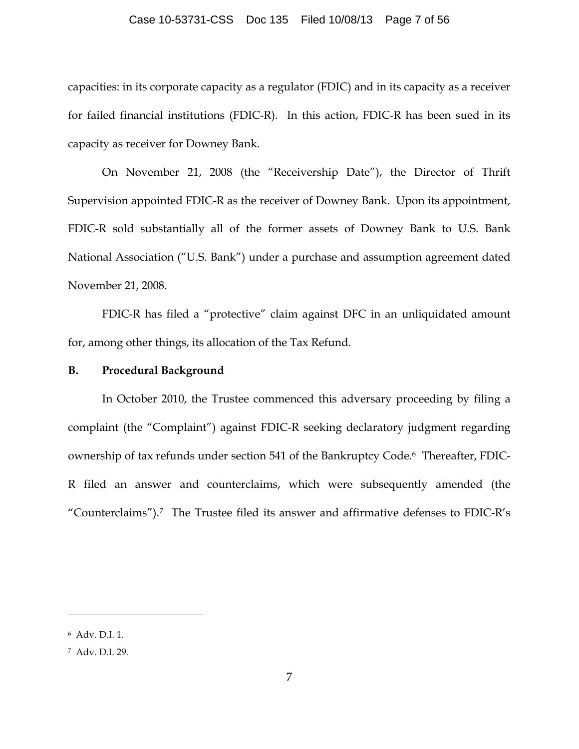### Case 10-53731-CSS Doc 135 Filed 10/08/13 Page 7 of 56

capacities: in its corporate capacity as a regulator (FDIC) and in its capacity as a receiver for failed financial institutions (FDIC-R). In this action, FDIC-R has been sued in its capacity as receiver for Downey Bank.

On November 21, 2008 (the "Receivership Date"), the Director of Thrift Supervision appointed FDIC-R as the receiver of Downey Bank. Upon its appointment, FDIC-R sold substantially all of the former assets of Downey Bank to U.S. Bank National Association ("U.S. Bank") under a purchase and assumption agreement dated November 21, 2008.

FDIC-R has filed a "protective" claim against DFC in an unliquidated amount for, among other things, its allocation of the Tax Refund.

## **B. Procedural Background**

In October 2010, the Trustee commenced this adversary proceeding by filing a complaint (the "Complaint") against FDIC-R seeking declaratory judgment regarding ownership of tax refunds under section 541 of the Bankruptcy Code.6 Thereafter, FDIC-R filed an answer and counterclaims, which were subsequently amended (the "Counterclaims").7 The Trustee filed its answer and affirmative defenses to FDIC-R's

<sup>6</sup> Adv. D.I. 1.

<sup>7</sup> Adv. D.I. 29.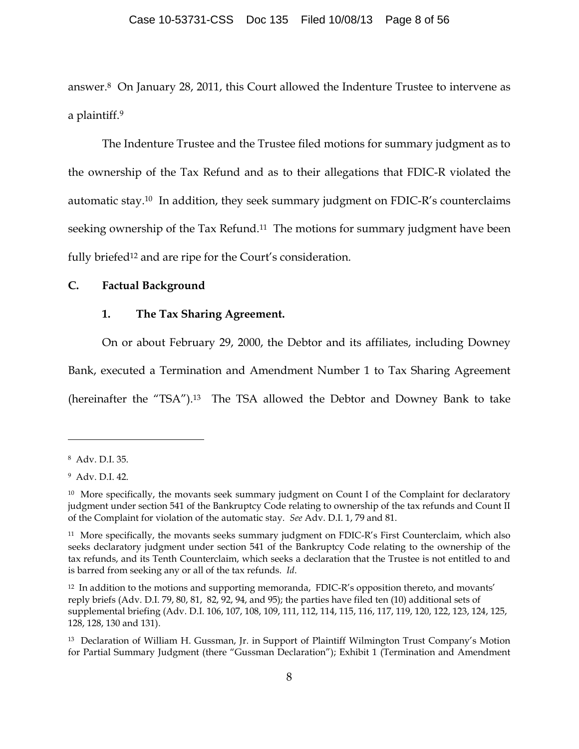answer.8 On January 28, 2011, this Court allowed the Indenture Trustee to intervene as a plaintiff.9

The Indenture Trustee and the Trustee filed motions for summary judgment as to the ownership of the Tax Refund and as to their allegations that FDIC-R violated the automatic stay.10 In addition, they seek summary judgment on FDIC-R's counterclaims seeking ownership of the Tax Refund.<sup>11</sup> The motions for summary judgment have been fully briefed<sup>12</sup> and are ripe for the Court's consideration.

### **C. Factual Background**

## **1. The Tax Sharing Agreement.**

On or about February 29, 2000, the Debtor and its affiliates, including Downey Bank, executed a Termination and Amendment Number 1 to Tax Sharing Agreement (hereinafter the "TSA").13 The TSA allowed the Debtor and Downey Bank to take

<sup>8</sup> Adv. D.I. 35.

<sup>9</sup> Adv. D.I. 42.

 $10$  More specifically, the movants seek summary judgment on Count I of the Complaint for declaratory judgment under section 541 of the Bankruptcy Code relating to ownership of the tax refunds and Count II of the Complaint for violation of the automatic stay. *See* Adv. D.I. 1, 79 and 81.

<sup>&</sup>lt;sup>11</sup> More specifically, the movants seeks summary judgment on FDIC-R's First Counterclaim, which also seeks declaratory judgment under section 541 of the Bankruptcy Code relating to the ownership of the tax refunds, and its Tenth Counterclaim, which seeks a declaration that the Trustee is not entitled to and is barred from seeking any or all of the tax refunds. *Id*.

 $12$  In addition to the motions and supporting memoranda, FDIC-R's opposition thereto, and movants' reply briefs (Adv. D.I. 79, 80, 81, 82, 92, 94, and 95); the parties have filed ten (10) additional sets of supplemental briefing (Adv. D.I. 106, 107, 108, 109, 111, 112, 114, 115, 116, 117, 119, 120, 122, 123, 124, 125, 128, 128, 130 and 131).

<sup>13</sup> Declaration of William H. Gussman, Jr. in Support of Plaintiff Wilmington Trust Company's Motion for Partial Summary Judgment (there "Gussman Declaration"); Exhibit 1 (Termination and Amendment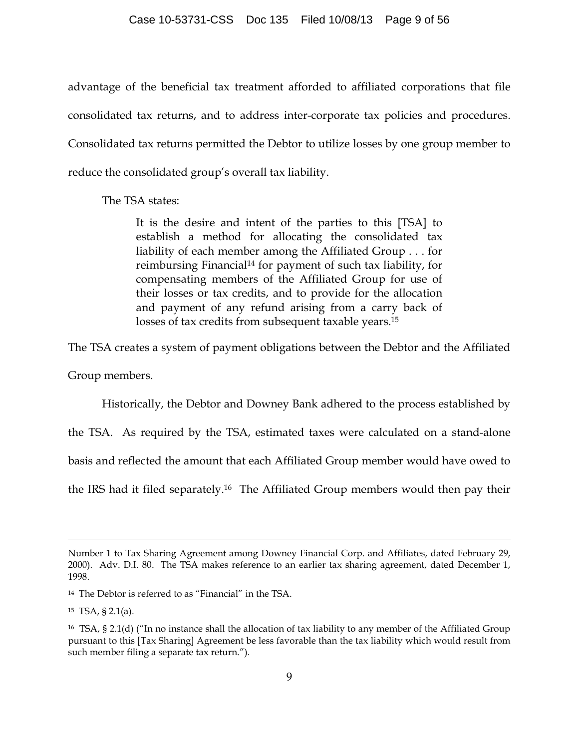advantage of the beneficial tax treatment afforded to affiliated corporations that file consolidated tax returns, and to address inter-corporate tax policies and procedures. Consolidated tax returns permitted the Debtor to utilize losses by one group member to reduce the consolidated group's overall tax liability.

The TSA states:

It is the desire and intent of the parties to this [TSA] to establish a method for allocating the consolidated tax liability of each member among the Affiliated Group . . . for reimbursing Financial14 for payment of such tax liability, for compensating members of the Affiliated Group for use of their losses or tax credits, and to provide for the allocation and payment of any refund arising from a carry back of losses of tax credits from subsequent taxable years.15

The TSA creates a system of payment obligations between the Debtor and the Affiliated

Group members.

Historically, the Debtor and Downey Bank adhered to the process established by

the TSA. As required by the TSA, estimated taxes were calculated on a stand-alone basis and reflected the amount that each Affiliated Group member would have owed to

the IRS had it filed separately.16 The Affiliated Group members would then pay their

Number 1 to Tax Sharing Agreement among Downey Financial Corp. and Affiliates, dated February 29, 2000). Adv. D.I. 80. The TSA makes reference to an earlier tax sharing agreement, dated December 1, 1998.

<sup>14</sup> The Debtor is referred to as "Financial" in the TSA.

 $15$  TSA, § 2.1(a).

<sup>16</sup> TSA, § 2.1(d) ("In no instance shall the allocation of tax liability to any member of the Affiliated Group pursuant to this [Tax Sharing] Agreement be less favorable than the tax liability which would result from such member filing a separate tax return.").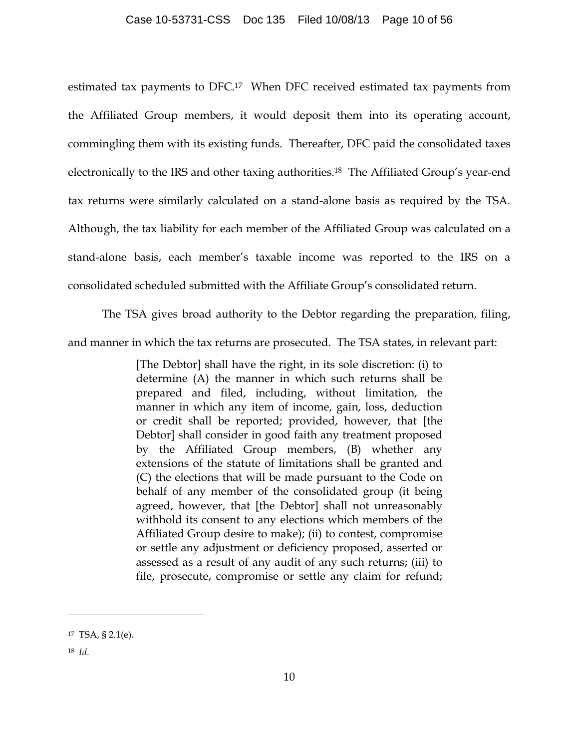estimated tax payments to DFC.17 When DFC received estimated tax payments from the Affiliated Group members, it would deposit them into its operating account, commingling them with its existing funds. Thereafter, DFC paid the consolidated taxes electronically to the IRS and other taxing authorities.18 The Affiliated Group's year-end tax returns were similarly calculated on a stand-alone basis as required by the TSA. Although, the tax liability for each member of the Affiliated Group was calculated on a stand-alone basis, each member's taxable income was reported to the IRS on a consolidated scheduled submitted with the Affiliate Group's consolidated return.

The TSA gives broad authority to the Debtor regarding the preparation, filing,

and manner in which the tax returns are prosecuted. The TSA states, in relevant part:

[The Debtor] shall have the right, in its sole discretion: (i) to determine (A) the manner in which such returns shall be prepared and filed, including, without limitation, the manner in which any item of income, gain, loss, deduction or credit shall be reported; provided, however, that [the Debtor] shall consider in good faith any treatment proposed by the Affiliated Group members, (B) whether any extensions of the statute of limitations shall be granted and (C) the elections that will be made pursuant to the Code on behalf of any member of the consolidated group (it being agreed, however, that [the Debtor] shall not unreasonably withhold its consent to any elections which members of the Affiliated Group desire to make); (ii) to contest, compromise or settle any adjustment or deficiency proposed, asserted or assessed as a result of any audit of any such returns; (iii) to file, prosecute, compromise or settle any claim for refund;

<sup>17</sup> TSA, § 2.1(e).

<sup>18</sup> *Id*.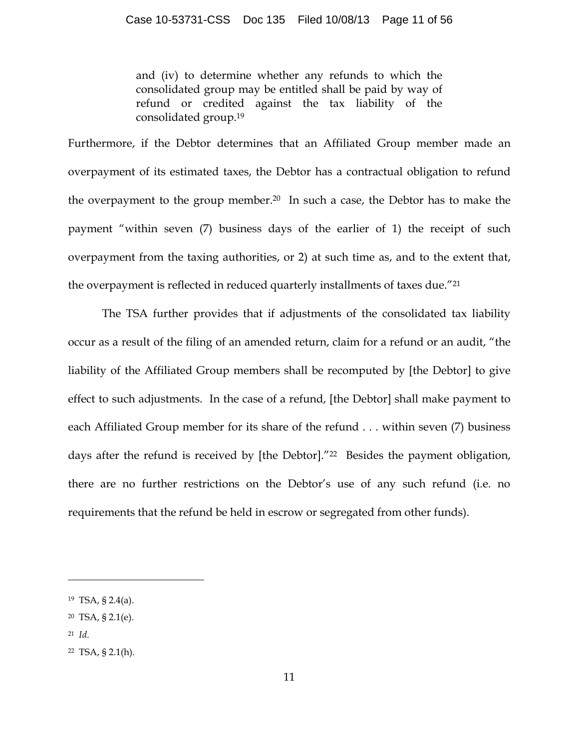and (iv) to determine whether any refunds to which the consolidated group may be entitled shall be paid by way of refund or credited against the tax liability of the consolidated group.19

Furthermore, if the Debtor determines that an Affiliated Group member made an overpayment of its estimated taxes, the Debtor has a contractual obligation to refund the overpayment to the group member.20 In such a case, the Debtor has to make the payment "within seven (7) business days of the earlier of 1) the receipt of such overpayment from the taxing authorities, or 2) at such time as, and to the extent that, the overpayment is reflected in reduced quarterly installments of taxes due."21

The TSA further provides that if adjustments of the consolidated tax liability occur as a result of the filing of an amended return, claim for a refund or an audit, "the liability of the Affiliated Group members shall be recomputed by [the Debtor] to give effect to such adjustments. In the case of a refund, [the Debtor] shall make payment to each Affiliated Group member for its share of the refund . . . within seven (7) business days after the refund is received by [the Debtor]."22 Besides the payment obligation, there are no further restrictions on the Debtor's use of any such refund (i.e. no requirements that the refund be held in escrow or segregated from other funds).

21 *Id*.

<sup>19</sup> TSA, § 2.4(a).

<sup>20</sup> TSA, § 2.1(e).

<sup>22</sup> TSA, § 2.1(h).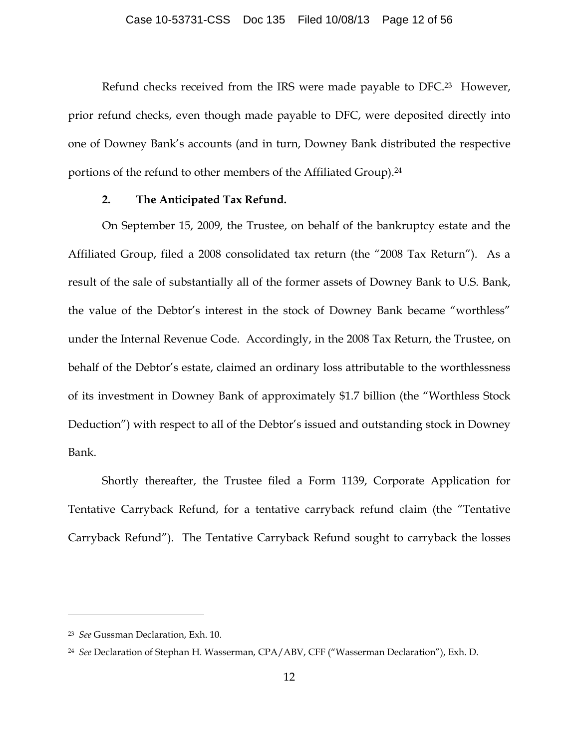Refund checks received from the IRS were made payable to DFC.<sup>23</sup> However, prior refund checks, even though made payable to DFC, were deposited directly into one of Downey Bank's accounts (and in turn, Downey Bank distributed the respective portions of the refund to other members of the Affiliated Group).<sup>24</sup>

### **2. The Anticipated Tax Refund.**

On September 15, 2009, the Trustee, on behalf of the bankruptcy estate and the Affiliated Group, filed a 2008 consolidated tax return (the "2008 Tax Return"). As a result of the sale of substantially all of the former assets of Downey Bank to U.S. Bank, the value of the Debtor's interest in the stock of Downey Bank became "worthless" under the Internal Revenue Code. Accordingly, in the 2008 Tax Return, the Trustee, on behalf of the Debtor's estate, claimed an ordinary loss attributable to the worthlessness of its investment in Downey Bank of approximately \$1.7 billion (the "Worthless Stock Deduction") with respect to all of the Debtor's issued and outstanding stock in Downey Bank.

Shortly thereafter, the Trustee filed a Form 1139, Corporate Application for Tentative Carryback Refund, for a tentative carryback refund claim (the "Tentative Carryback Refund"). The Tentative Carryback Refund sought to carryback the losses

<sup>23</sup> *See* Gussman Declaration, Exh. 10.

<sup>24</sup> *See* Declaration of Stephan H. Wasserman, CPA/ABV, CFF ("Wasserman Declaration"), Exh. D.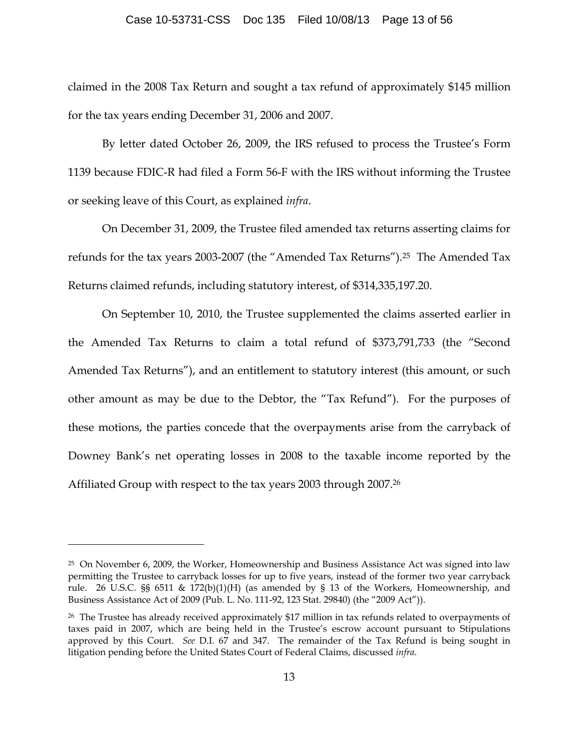claimed in the 2008 Tax Return and sought a tax refund of approximately \$145 million for the tax years ending December 31, 2006 and 2007.

By letter dated October 26, 2009, the IRS refused to process the Trustee's Form 1139 because FDIC-R had filed a Form 56-F with the IRS without informing the Trustee or seeking leave of this Court, as explained *infra*.

On December 31, 2009, the Trustee filed amended tax returns asserting claims for refunds for the tax years 2003-2007 (the "Amended Tax Returns").25 The Amended Tax Returns claimed refunds, including statutory interest, of \$314,335,197.20.

On September 10, 2010, the Trustee supplemented the claims asserted earlier in the Amended Tax Returns to claim a total refund of \$373,791,733 (the "Second Amended Tax Returns"), and an entitlement to statutory interest (this amount, or such other amount as may be due to the Debtor, the "Tax Refund"). For the purposes of these motions, the parties concede that the overpayments arise from the carryback of Downey Bank's net operating losses in 2008 to the taxable income reported by the Affiliated Group with respect to the tax years 2003 through 2007.26

<sup>25</sup> On November 6, 2009, the Worker, Homeownership and Business Assistance Act was signed into law permitting the Trustee to carryback losses for up to five years, instead of the former two year carryback rule. 26 U.S.C. §§ 6511 & 172(b)(1)(H) (as amended by § 13 of the Workers, Homeownership, and Business Assistance Act of 2009 (Pub. L. No. 111-92, 123 Stat. 29840) (the "2009 Act")).

<sup>26</sup> The Trustee has already received approximately \$17 million in tax refunds related to overpayments of taxes paid in 2007, which are being held in the Trustee's escrow account pursuant to Stipulations approved by this Court. *See* D.I. 67 and 347. The remainder of the Tax Refund is being sought in litigation pending before the United States Court of Federal Claims, discussed *infra*.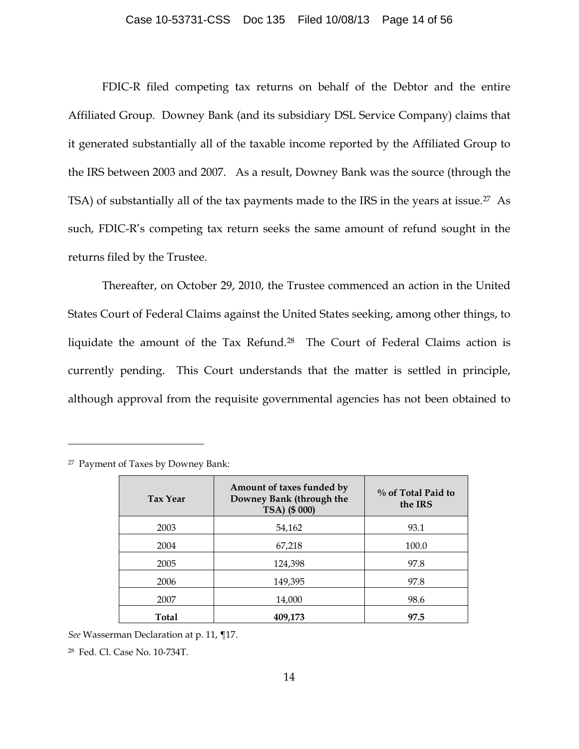#### Case 10-53731-CSS Doc 135 Filed 10/08/13 Page 14 of 56

FDIC-R filed competing tax returns on behalf of the Debtor and the entire Affiliated Group. Downey Bank (and its subsidiary DSL Service Company) claims that it generated substantially all of the taxable income reported by the Affiliated Group to the IRS between 2003 and 2007. As a result, Downey Bank was the source (through the TSA) of substantially all of the tax payments made to the IRS in the years at issue.27 As such, FDIC-R's competing tax return seeks the same amount of refund sought in the returns filed by the Trustee.

Thereafter, on October 29, 2010, the Trustee commenced an action in the United States Court of Federal Claims against the United States seeking, among other things, to liquidate the amount of the Tax Refund.28 The Court of Federal Claims action is currently pending. This Court understands that the matter is settled in principle, although approval from the requisite governmental agencies has not been obtained to

| <b>Tax Year</b> | Amount of taxes funded by<br>Downey Bank (through the<br>TSA) (\$ 000) | $\%$ of Total Paid to<br>the IRS |
|-----------------|------------------------------------------------------------------------|----------------------------------|
| 2003            | 54,162                                                                 | 93.1                             |
| 2004            | 67,218                                                                 | 100.0                            |
| 2005            | 124,398                                                                | 97.8                             |
| 2006            | 149,395                                                                | 97.8                             |
| 2007            | 14,000                                                                 | 98.6                             |
| Total           | 409,173                                                                | 97.5                             |

<sup>27</sup> Payment of Taxes by Downey Bank:

 $\overline{a}$ 

*See* Wasserman Declaration at p. 11, ¶17.

28 Fed. Cl. Case No. 10-734T.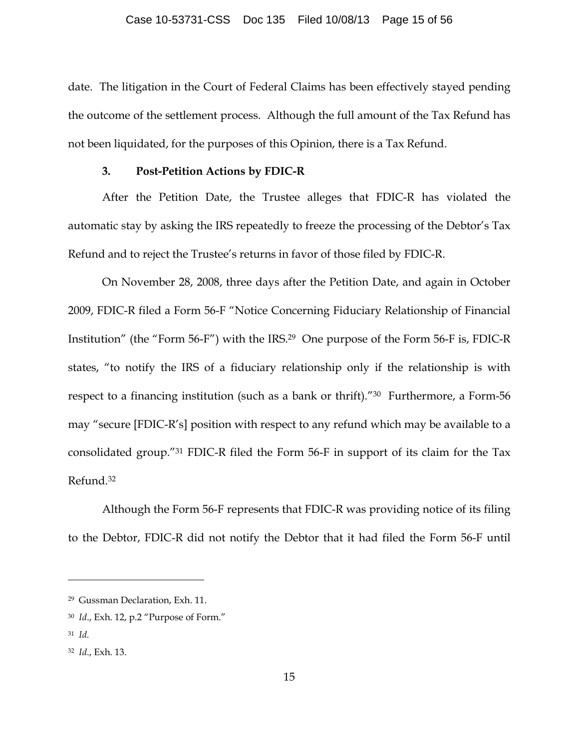date. The litigation in the Court of Federal Claims has been effectively stayed pending the outcome of the settlement process. Although the full amount of the Tax Refund has not been liquidated, for the purposes of this Opinion, there is a Tax Refund.

## **3. Post-Petition Actions by FDIC-R**

After the Petition Date, the Trustee alleges that FDIC-R has violated the automatic stay by asking the IRS repeatedly to freeze the processing of the Debtor's Tax Refund and to reject the Trustee's returns in favor of those filed by FDIC-R.

On November 28, 2008, three days after the Petition Date, and again in October 2009, FDIC-R filed a Form 56-F "Notice Concerning Fiduciary Relationship of Financial Institution" (the "Form 56-F") with the IRS.29 One purpose of the Form 56-F is, FDIC-R states, "to notify the IRS of a fiduciary relationship only if the relationship is with respect to a financing institution (such as a bank or thrift)."30 Furthermore, a Form-56 may "secure [FDIC-R's] position with respect to any refund which may be available to a consolidated group."31 FDIC-R filed the Form 56-F in support of its claim for the Tax Refund.32

Although the Form 56-F represents that FDIC-R was providing notice of its filing to the Debtor, FDIC-R did not notify the Debtor that it had filed the Form 56-F until

<sup>29</sup> Gussman Declaration, Exh. 11.

<sup>30</sup> *Id*., Exh. 12, p.2 "Purpose of Form."

<sup>31</sup> *Id.*

<sup>32</sup> *Id*., Exh. 13.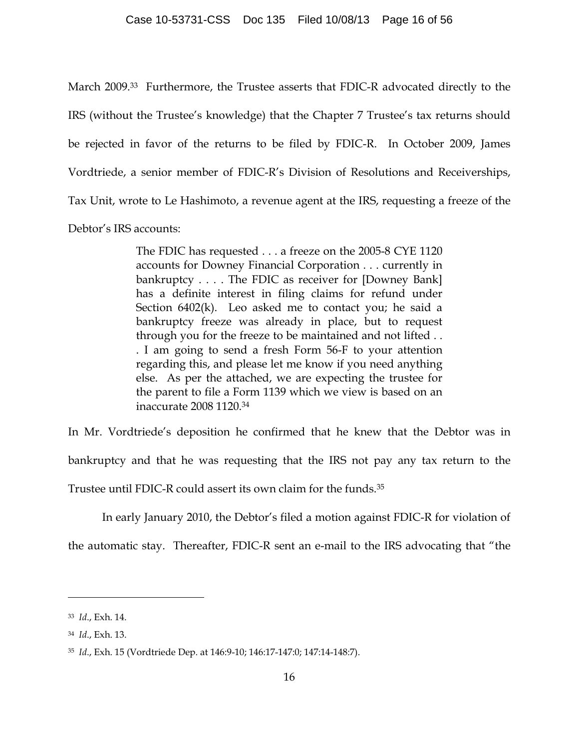March 2009.33 Furthermore, the Trustee asserts that FDIC-R advocated directly to the IRS (without the Trustee's knowledge) that the Chapter 7 Trustee's tax returns should be rejected in favor of the returns to be filed by FDIC-R. In October 2009, James Vordtriede, a senior member of FDIC-R's Division of Resolutions and Receiverships, Tax Unit, wrote to Le Hashimoto, a revenue agent at the IRS, requesting a freeze of the Debtor's IRS accounts:

> The FDIC has requested . . . a freeze on the 2005-8 CYE 1120 accounts for Downey Financial Corporation . . . currently in bankruptcy . . . . The FDIC as receiver for [Downey Bank] has a definite interest in filing claims for refund under Section 6402(k). Leo asked me to contact you; he said a bankruptcy freeze was already in place, but to request through you for the freeze to be maintained and not lifted . . . I am going to send a fresh Form 56-F to your attention regarding this, and please let me know if you need anything else. As per the attached, we are expecting the trustee for the parent to file a Form 1139 which we view is based on an inaccurate 2008 1120.34

In Mr. Vordtriede's deposition he confirmed that he knew that the Debtor was in bankruptcy and that he was requesting that the IRS not pay any tax return to the Trustee until FDIC-R could assert its own claim for the funds.35

In early January 2010, the Debtor's filed a motion against FDIC-R for violation of

the automatic stay. Thereafter, FDIC-R sent an e-mail to the IRS advocating that "the

<sup>33</sup> *Id*., Exh. 14.

<sup>34</sup> *Id*., Exh. 13.

<sup>35</sup> *Id*., Exh. 15 (Vordtriede Dep. at 146:9-10; 146:17-147:0; 147:14-148:7).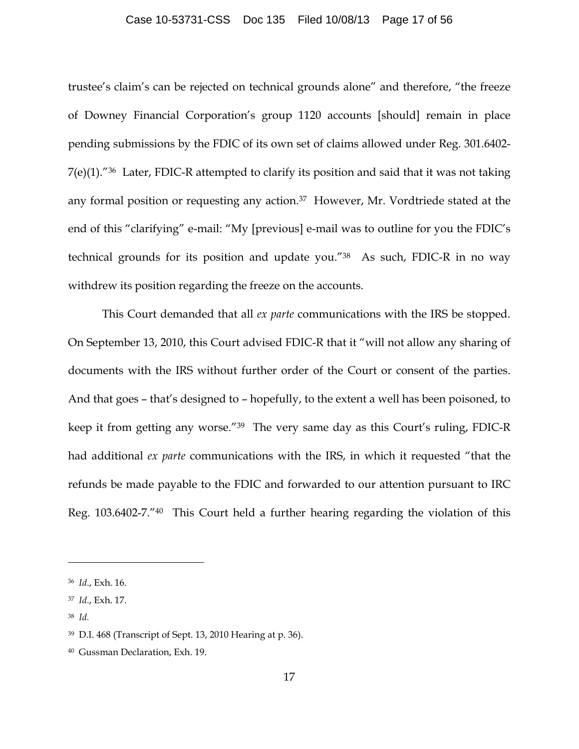#### Case 10-53731-CSS Doc 135 Filed 10/08/13 Page 17 of 56

trustee's claim's can be rejected on technical grounds alone" and therefore, "the freeze of Downey Financial Corporation's group 1120 accounts [should] remain in place pending submissions by the FDIC of its own set of claims allowed under Reg. 301.6402- 7(e)(1)."36 Later, FDIC-R attempted to clarify its position and said that it was not taking any formal position or requesting any action.37 However, Mr. Vordtriede stated at the end of this "clarifying" e-mail: "My [previous] e-mail was to outline for you the FDIC's technical grounds for its position and update you."38 As such, FDIC-R in no way withdrew its position regarding the freeze on the accounts.

This Court demanded that all *ex parte* communications with the IRS be stopped. On September 13, 2010, this Court advised FDIC-R that it "will not allow any sharing of documents with the IRS without further order of the Court or consent of the parties. And that goes – that's designed to – hopefully, to the extent a well has been poisoned, to keep it from getting any worse."39 The very same day as this Court's ruling, FDIC-R had additional *ex parte* communications with the IRS, in which it requested "that the refunds be made payable to the FDIC and forwarded to our attention pursuant to IRC Reg. 103.6402-7."40 This Court held a further hearing regarding the violation of this

38 *Id.*

<sup>36</sup> *Id*., Exh. 16.

<sup>37</sup> *Id*., Exh. 17.

<sup>39</sup> D.I. 468 (Transcript of Sept. 13, 2010 Hearing at p. 36).

<sup>40</sup> Gussman Declaration, Exh. 19.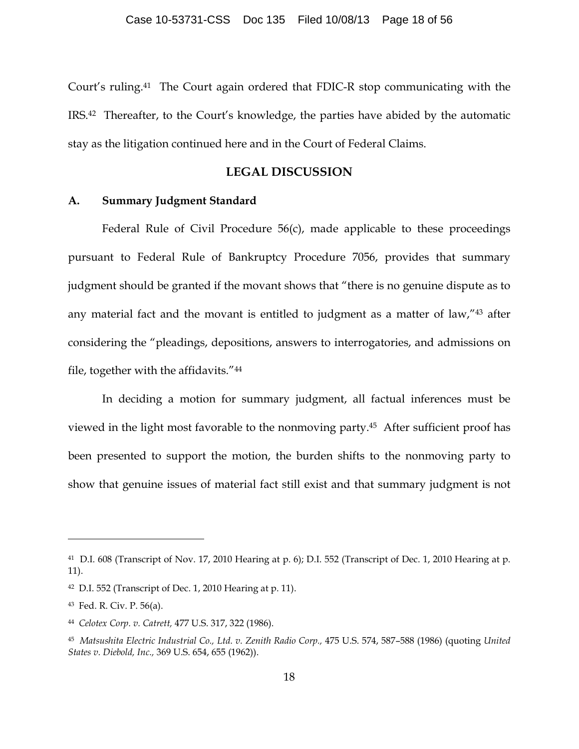Court's ruling.41 The Court again ordered that FDIC-R stop communicating with the IRS.42 Thereafter, to the Court's knowledge, the parties have abided by the automatic stay as the litigation continued here and in the Court of Federal Claims.

## **LEGAL DISCUSSION**

## **A. Summary Judgment Standard**

Federal Rule of Civil Procedure 56(c), made applicable to these proceedings pursuant to Federal Rule of Bankruptcy Procedure 7056, provides that summary judgment should be granted if the movant shows that "there is no genuine dispute as to any material fact and the movant is entitled to judgment as a matter of law,"43 after considering the "pleadings, depositions, answers to interrogatories, and admissions on file, together with the affidavits."44

In deciding a motion for summary judgment, all factual inferences must be viewed in the light most favorable to the nonmoving party.45 After sufficient proof has been presented to support the motion, the burden shifts to the nonmoving party to show that genuine issues of material fact still exist and that summary judgment is not

<sup>41</sup> D.I. 608 (Transcript of Nov. 17, 2010 Hearing at p. 6); D.I. 552 (Transcript of Dec. 1, 2010 Hearing at p. 11).

 $42$  D.I. 552 (Transcript of Dec. 1, 2010 Hearing at p. 11).

<sup>43</sup> Fed. R. Civ. P. 56(a).

<sup>44</sup> *Celotex Corp. v. Catrett,* 477 U.S. 317, 322 (1986).

<sup>45</sup> *Matsushita Electric Industrial Co., Ltd. v. Zenith Radio Corp.,* 475 U.S. 574, 587–588 (1986) (quoting *United States v. Diebold, Inc.,* 369 U.S. 654, 655 (1962)).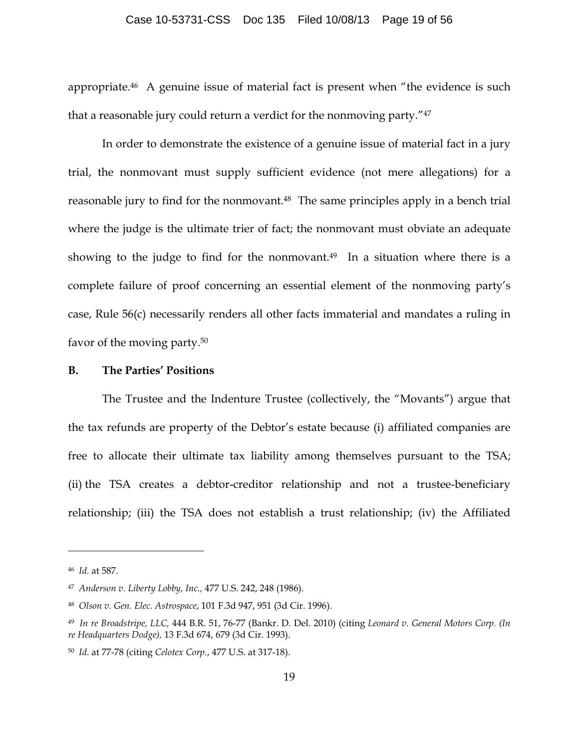#### Case 10-53731-CSS Doc 135 Filed 10/08/13 Page 19 of 56

appropriate.46 A genuine issue of material fact is present when "the evidence is such that a reasonable jury could return a verdict for the nonmoving party."47

In order to demonstrate the existence of a genuine issue of material fact in a jury trial, the nonmovant must supply sufficient evidence (not mere allegations) for a reasonable jury to find for the nonmovant.<sup>48</sup> The same principles apply in a bench trial where the judge is the ultimate trier of fact; the nonmovant must obviate an adequate showing to the judge to find for the nonmovant.<sup>49</sup> In a situation where there is a complete failure of proof concerning an essential element of the nonmoving party's case, Rule 56(c) necessarily renders all other facts immaterial and mandates a ruling in favor of the moving party.50

### **B. The Parties' Positions**

The Trustee and the Indenture Trustee (collectively, the "Movants") argue that the tax refunds are property of the Debtor's estate because (i) affiliated companies are free to allocate their ultimate tax liability among themselves pursuant to the TSA; (ii) the TSA creates a debtor-creditor relationship and not a trustee-beneficiary relationship; (iii) the TSA does not establish a trust relationship; (iv) the Affiliated

<sup>46</sup> *Id.* at 587.

<sup>47</sup> *Anderson v. Liberty Lobby, Inc.,* 477 U.S. 242, 248 (1986).

<sup>48</sup> *Olson v. Gen. Elec. Astrospace*, 101 F.3d 947, 951 (3d Cir. 1996).

<sup>49</sup> *In re Broadstripe, LLC,* 444 B.R. 51, 76-77 (Bankr. D. Del. 2010) (citing *Leonard v. General Motors Corp. (In re Headquarters Dodge),* 13 F.3d 674, 679 (3d Cir. 1993).

<sup>50</sup> *Id.* at 77-78 (citing *Celotex Corp.*, 477 U.S. at 317-18).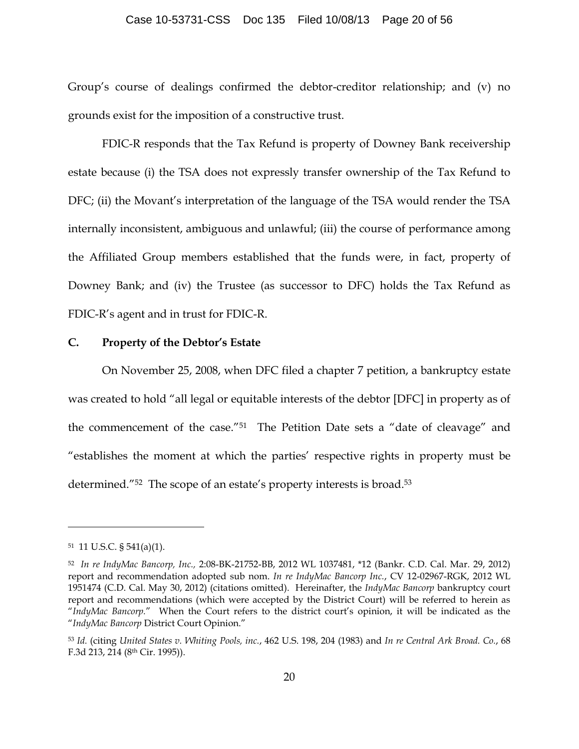#### Case 10-53731-CSS Doc 135 Filed 10/08/13 Page 20 of 56

Group's course of dealings confirmed the debtor-creditor relationship; and (v) no grounds exist for the imposition of a constructive trust.

FDIC-R responds that the Tax Refund is property of Downey Bank receivership estate because (i) the TSA does not expressly transfer ownership of the Tax Refund to DFC; (ii) the Movant's interpretation of the language of the TSA would render the TSA internally inconsistent, ambiguous and unlawful; (iii) the course of performance among the Affiliated Group members established that the funds were, in fact, property of Downey Bank; and (iv) the Trustee (as successor to DFC) holds the Tax Refund as FDIC-R's agent and in trust for FDIC-R.

## **C. Property of the Debtor's Estate**

On November 25, 2008, when DFC filed a chapter 7 petition, a bankruptcy estate was created to hold "all legal or equitable interests of the debtor [DFC] in property as of the commencement of the case."51 The Petition Date sets a "date of cleavage" and "establishes the moment at which the parties' respective rights in property must be determined."<sup>52</sup> The scope of an estate's property interests is broad.<sup>53</sup>

<sup>51 11</sup> U.S.C. § 541(a)(1).

<sup>52</sup> *In re IndyMac Bancorp, Inc.,* 2:08-BK-21752-BB, 2012 WL 1037481, \*12 (Bankr. C.D. Cal. Mar. 29, 2012) report and recommendation adopted sub nom. *In re IndyMac Bancorp Inc.*, CV 12-02967-RGK, 2012 WL 1951474 (C.D. Cal. May 30, 2012) (citations omitted). Hereinafter, the *IndyMac Bancorp* bankruptcy court report and recommendations (which were accepted by the District Court) will be referred to herein as "*IndyMac Bancorp.*" When the Court refers to the district court's opinion, it will be indicated as the "*IndyMac Bancorp* District Court Opinion."

<sup>53</sup> *Id.* (citing *United States v. Whiting Pools, inc.*, 462 U.S. 198, 204 (1983) and *In re Central Ark Broad. Co.*, 68 F.3d 213, 214 (8th Cir. 1995)).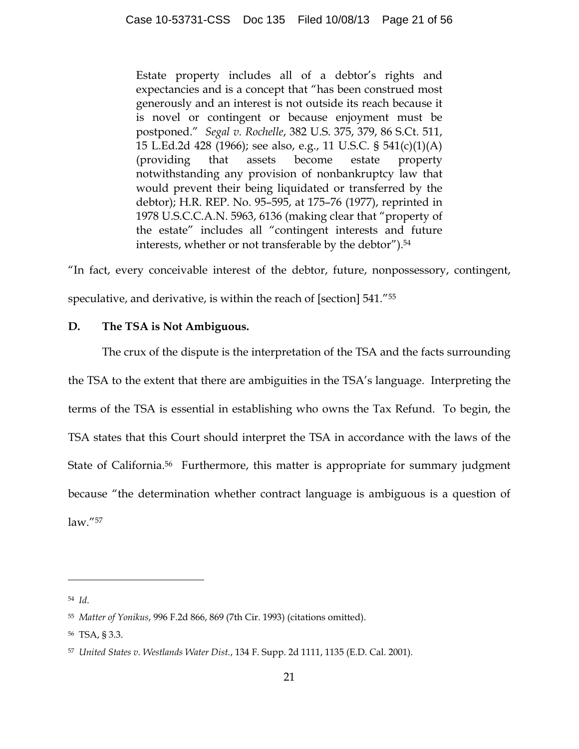Estate property includes all of a debtor's rights and expectancies and is a concept that "has been construed most generously and an interest is not outside its reach because it is novel or contingent or because enjoyment must be postponed." *Segal v. Rochelle*, 382 U.S. 375, 379, 86 S.Ct. 511, 15 L.Ed.2d 428 (1966); see also, e.g., 11 U.S.C. § 541(c)(1)(A) (providing that assets become estate property notwithstanding any provision of nonbankruptcy law that would prevent their being liquidated or transferred by the debtor); H.R. REP. No. 95–595, at 175–76 (1977), reprinted in 1978 U.S.C.C.A.N. 5963, 6136 (making clear that "property of the estate" includes all "contingent interests and future interests, whether or not transferable by the debtor").<sup>54</sup>

"In fact, every conceivable interest of the debtor, future, nonpossessory, contingent, speculative, and derivative, is within the reach of [section] 541."55

# **D. The TSA is Not Ambiguous.**

The crux of the dispute is the interpretation of the TSA and the facts surrounding the TSA to the extent that there are ambiguities in the TSA's language. Interpreting the terms of the TSA is essential in establishing who owns the Tax Refund. To begin, the TSA states that this Court should interpret the TSA in accordance with the laws of the State of California.<sup>56</sup> Furthermore, this matter is appropriate for summary judgment because "the determination whether contract language is ambiguous is a question of law."57

54 *Id*.

<sup>55</sup> *Matter of Yonikus*, 996 F.2d 866, 869 (7th Cir. 1993) (citations omitted).

<sup>56</sup> TSA, § 3.3.

<sup>57</sup> *United States v. Westlands Water Dist.*, 134 F. Supp. 2d 1111, 1135 (E.D. Cal. 2001).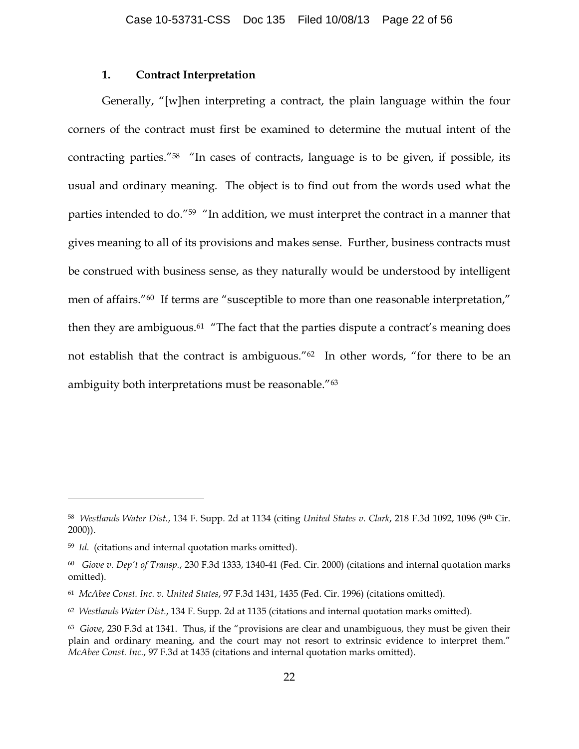### **1. Contract Interpretation**

Generally, "[w]hen interpreting a contract, the plain language within the four corners of the contract must first be examined to determine the mutual intent of the contracting parties."58 "In cases of contracts, language is to be given, if possible, its usual and ordinary meaning. The object is to find out from the words used what the parties intended to do."59 "In addition, we must interpret the contract in a manner that gives meaning to all of its provisions and makes sense. Further, business contracts must be construed with business sense, as they naturally would be understood by intelligent men of affairs."<sup>60</sup> If terms are "susceptible to more than one reasonable interpretation," then they are ambiguous.<sup>61</sup> "The fact that the parties dispute a contract's meaning does not establish that the contract is ambiguous."62 In other words, "for there to be an ambiguity both interpretations must be reasonable."63

<sup>58</sup> *Westlands Water Dist.*, 134 F. Supp. 2d at 1134 (citing *United States v. Clark*, 218 F.3d 1092, 1096 (9th Cir. 2000)).

<sup>59</sup> *Id.* (citations and internal quotation marks omitted).

<sup>60</sup> *Giove v. Dep't of Transp.*, 230 F.3d 1333, 1340-41 (Fed. Cir. 2000) (citations and internal quotation marks omitted).

<sup>61</sup> *McAbee Const. Inc. v. United States*, 97 F.3d 1431, 1435 (Fed. Cir. 1996) (citations omitted).

<sup>62</sup> *Westlands Water Dist.*, 134 F. Supp. 2d at 1135 (citations and internal quotation marks omitted).

<sup>63</sup> *Giove*, 230 F.3d at 1341. Thus, if the "provisions are clear and unambiguous, they must be given their plain and ordinary meaning, and the court may not resort to extrinsic evidence to interpret them." *McAbee Const. Inc.*, 97 F.3d at 1435 (citations and internal quotation marks omitted).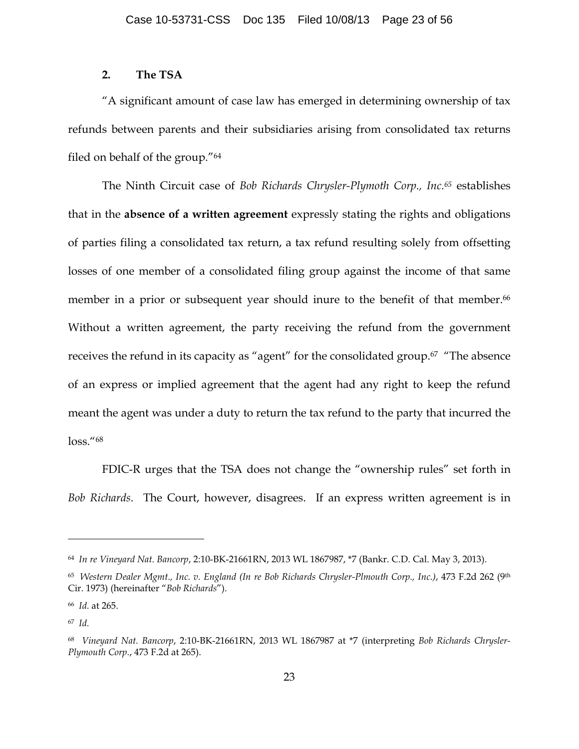## **2. The TSA**

"A significant amount of case law has emerged in determining ownership of tax refunds between parents and their subsidiaries arising from consolidated tax returns filed on behalf of the group."64

The Ninth Circuit case of *Bob Richards Chrysler-Plymoth Corp., Inc.65* establishes that in the **absence of a written agreement** expressly stating the rights and obligations of parties filing a consolidated tax return, a tax refund resulting solely from offsetting losses of one member of a consolidated filing group against the income of that same member in a prior or subsequent year should inure to the benefit of that member.<sup>66</sup> Without a written agreement, the party receiving the refund from the government receives the refund in its capacity as "agent" for the consolidated group.<sup>67</sup> "The absence of an express or implied agreement that the agent had any right to keep the refund meant the agent was under a duty to return the tax refund to the party that incurred the loss."68

FDIC-R urges that the TSA does not change the "ownership rules" set forth in *Bob Richards*. The Court, however, disagrees. If an express written agreement is in

<sup>64</sup> *In re Vineyard Nat. Bancorp*, 2:10-BK-21661RN, 2013 WL 1867987, \*7 (Bankr. C.D. Cal. May 3, 2013).

<sup>65</sup> *Western Dealer Mgmt., Inc. v. England (In re Bob Richards Chrysler-Plmouth Corp., Inc.)*, 473 F.2d 262 (9th Cir. 1973) (hereinafter "*Bob Richards*").

<sup>66</sup> *Id.* at 265.

<sup>67</sup> *Id.*

<sup>68</sup> *Vineyard Nat. Bancorp*, 2:10-BK-21661RN, 2013 WL 1867987 at \*7 (interpreting *Bob Richards Chrysler-Plymouth Corp.*, 473 F.2d at 265).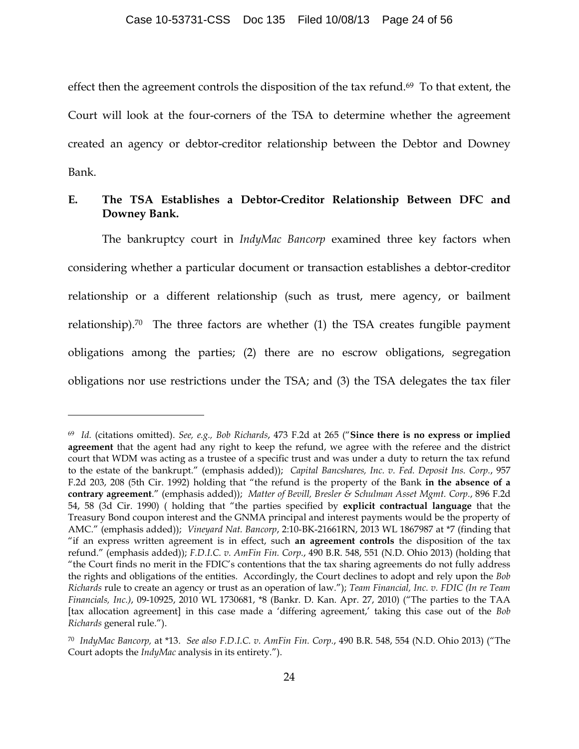effect then the agreement controls the disposition of the tax refund.<sup>69</sup> To that extent, the Court will look at the four-corners of the TSA to determine whether the agreement created an agency or debtor-creditor relationship between the Debtor and Downey Bank.

## **E. The TSA Establishes a Debtor-Creditor Relationship Between DFC and Downey Bank.**

The bankruptcy court in *IndyMac Bancorp* examined three key factors when considering whether a particular document or transaction establishes a debtor-creditor relationship or a different relationship (such as trust, mere agency, or bailment relationship).<sup>70</sup> The three factors are whether  $(1)$  the TSA creates fungible payment obligations among the parties; (2) there are no escrow obligations, segregation obligations nor use restrictions under the TSA; and (3) the TSA delegates the tax filer

<sup>69</sup> *Id.* (citations omitted). *See, e.g., Bob Richards*, 473 F.2d at 265 ("**Since there is no express or implied agreement** that the agent had any right to keep the refund, we agree with the referee and the district court that WDM was acting as a trustee of a specific trust and was under a duty to return the tax refund to the estate of the bankrupt." (emphasis added)); *Capital Bancshares, Inc. v. Fed. Deposit Ins. Corp.*, 957 F.2d 203, 208 (5th Cir. 1992) holding that "the refund is the property of the Bank **in the absence of a contrary agreement**." (emphasis added)); *Matter of Bevill, Bresler & Schulman Asset Mgmt. Corp.*, 896 F.2d 54, 58 (3d Cir. 1990) ( holding that "the parties specified by **explicit contractual language** that the Treasury Bond coupon interest and the GNMA principal and interest payments would be the property of AMC." (emphasis added)); *Vineyard Nat. Bancorp*, 2:10-BK-21661RN, 2013 WL 1867987 at \*7 (finding that "if an express written agreement is in effect, such **an agreement controls** the disposition of the tax refund." (emphasis added)); *F.D.I.C. v. AmFin Fin. Corp.*, 490 B.R. 548, 551 (N.D. Ohio 2013) (holding that "the Court finds no merit in the FDIC's contentions that the tax sharing agreements do not fully address the rights and obligations of the entities. Accordingly, the Court declines to adopt and rely upon the *Bob Richards* rule to create an agency or trust as an operation of law."); *Team Financial, Inc. v. FDIC (In re Team Financials, Inc.)*, 09-10925, 2010 WL 1730681, \*8 (Bankr. D. Kan. Apr. 27, 2010) ("The parties to the TAA [tax allocation agreement] in this case made a 'differing agreement,' taking this case out of the *Bob Richards* general rule.").

<sup>70</sup> *IndyMac Bancorp,* at \*13. *See also F.D.I.C. v. AmFin Fin. Corp.*, 490 B.R. 548, 554 (N.D. Ohio 2013) ("The Court adopts the *IndyMac* analysis in its entirety.").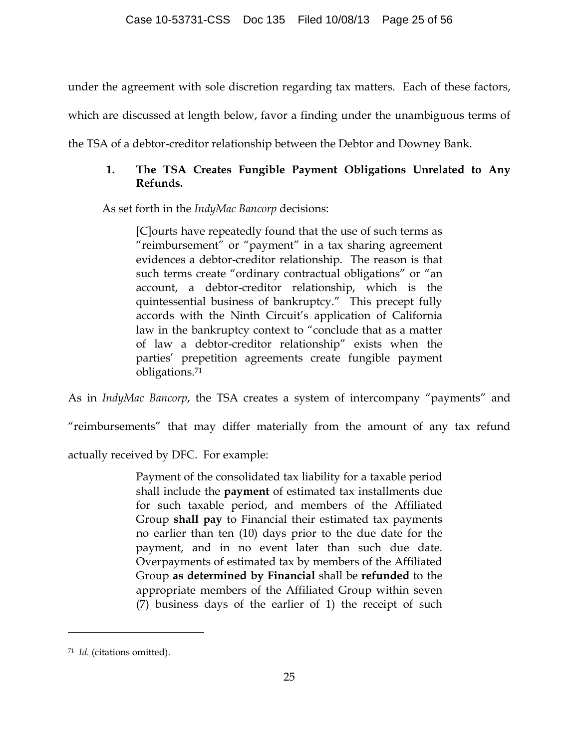under the agreement with sole discretion regarding tax matters. Each of these factors,

which are discussed at length below, favor a finding under the unambiguous terms of

the TSA of a debtor-creditor relationship between the Debtor and Downey Bank.

# **1. The TSA Creates Fungible Payment Obligations Unrelated to Any Refunds.**

As set forth in the *IndyMac Bancorp* decisions:

[C]ourts have repeatedly found that the use of such terms as "reimbursement" or "payment" in a tax sharing agreement evidences a debtor-creditor relationship. The reason is that such terms create "ordinary contractual obligations" or "an account, a debtor-creditor relationship, which is the quintessential business of bankruptcy." This precept fully accords with the Ninth Circuit's application of California law in the bankruptcy context to "conclude that as a matter of law a debtor-creditor relationship" exists when the parties' prepetition agreements create fungible payment obligations.71

As in *IndyMac Bancorp*, the TSA creates a system of intercompany "payments" and

"reimbursements" that may differ materially from the amount of any tax refund

actually received by DFC. For example:

Payment of the consolidated tax liability for a taxable period shall include the **payment** of estimated tax installments due for such taxable period, and members of the Affiliated Group **shall pay** to Financial their estimated tax payments no earlier than ten (10) days prior to the due date for the payment, and in no event later than such due date. Overpayments of estimated tax by members of the Affiliated Group **as determined by Financial** shall be **refunded** to the appropriate members of the Affiliated Group within seven (7) business days of the earlier of 1) the receipt of such

<sup>71</sup> *Id.* (citations omitted).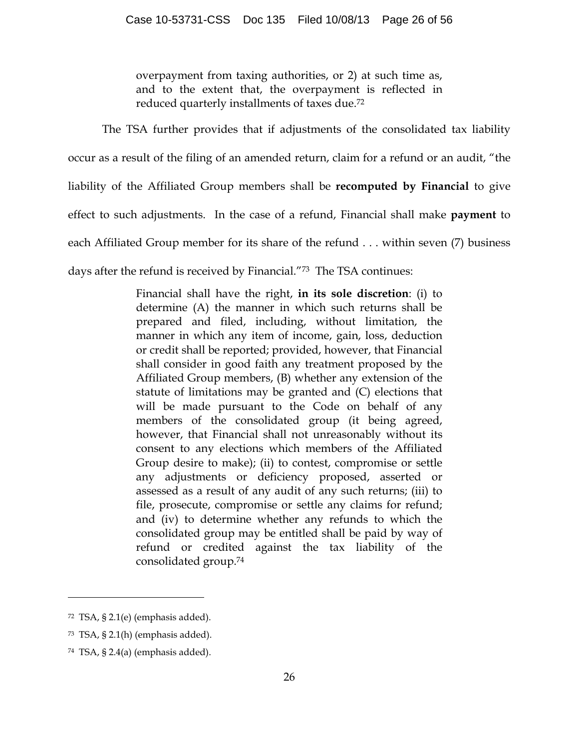overpayment from taxing authorities, or 2) at such time as, and to the extent that, the overpayment is reflected in reduced quarterly installments of taxes due.72

The TSA further provides that if adjustments of the consolidated tax liability occur as a result of the filing of an amended return, claim for a refund or an audit, "the liability of the Affiliated Group members shall be **recomputed by Financial** to give effect to such adjustments. In the case of a refund, Financial shall make **payment** to each Affiliated Group member for its share of the refund . . . within seven (7) business days after the refund is received by Financial."73 The TSA continues:

> Financial shall have the right, **in its sole discretion**: (i) to determine (A) the manner in which such returns shall be prepared and filed, including, without limitation, the manner in which any item of income, gain, loss, deduction or credit shall be reported; provided, however, that Financial shall consider in good faith any treatment proposed by the Affiliated Group members, (B) whether any extension of the statute of limitations may be granted and (C) elections that will be made pursuant to the Code on behalf of any members of the consolidated group (it being agreed, however, that Financial shall not unreasonably without its consent to any elections which members of the Affiliated Group desire to make); (ii) to contest, compromise or settle any adjustments or deficiency proposed, asserted or assessed as a result of any audit of any such returns; (iii) to file, prosecute, compromise or settle any claims for refund; and (iv) to determine whether any refunds to which the consolidated group may be entitled shall be paid by way of refund or credited against the tax liability of the consolidated group.74

 $72$  TSA, § 2.1(e) (emphasis added).

<sup>73</sup> TSA, § 2.1(h) (emphasis added).

<sup>74</sup> TSA, § 2.4(a) (emphasis added).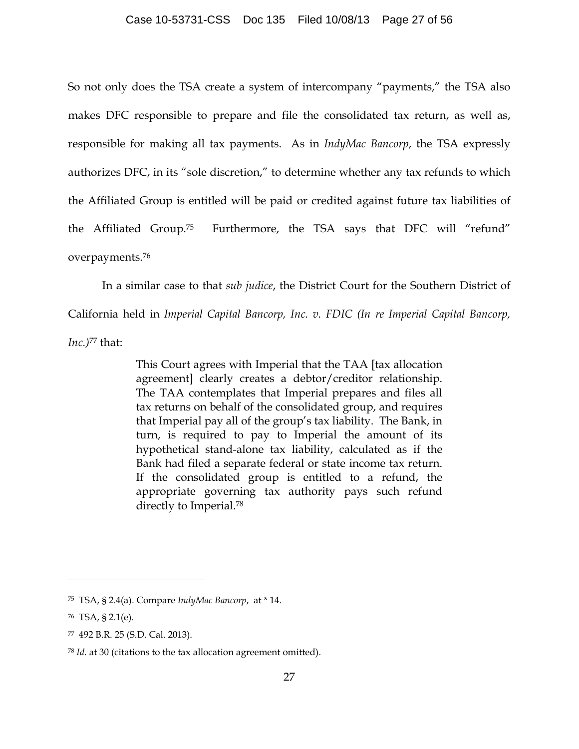### Case 10-53731-CSS Doc 135 Filed 10/08/13 Page 27 of 56

So not only does the TSA create a system of intercompany "payments," the TSA also makes DFC responsible to prepare and file the consolidated tax return, as well as, responsible for making all tax payments. As in *IndyMac Bancorp*, the TSA expressly authorizes DFC, in its "sole discretion," to determine whether any tax refunds to which the Affiliated Group is entitled will be paid or credited against future tax liabilities of the Affiliated Group.75 Furthermore, the TSA says that DFC will "refund" overpayments.76

In a similar case to that *sub judice*, the District Court for the Southern District of

California held in *Imperial Capital Bancorp, Inc. v. FDIC (In re Imperial Capital Bancorp,*

*Inc.)*<sup>77</sup> that:

This Court agrees with Imperial that the TAA [tax allocation agreement] clearly creates a debtor/creditor relationship. The TAA contemplates that Imperial prepares and files all tax returns on behalf of the consolidated group, and requires that Imperial pay all of the group's tax liability. The Bank, in turn, is required to pay to Imperial the amount of its hypothetical stand-alone tax liability, calculated as if the Bank had filed a separate federal or state income tax return. If the consolidated group is entitled to a refund, the appropriate governing tax authority pays such refund directly to Imperial.78

<sup>75</sup> TSA, § 2.4(a). Compare *IndyMac Bancorp*, at \* 14.

<sup>76</sup> TSA, § 2.1(e).

<sup>77 492</sup> B.R. 25 (S.D. Cal. 2013).

<sup>78</sup> *Id.* at 30 (citations to the tax allocation agreement omitted).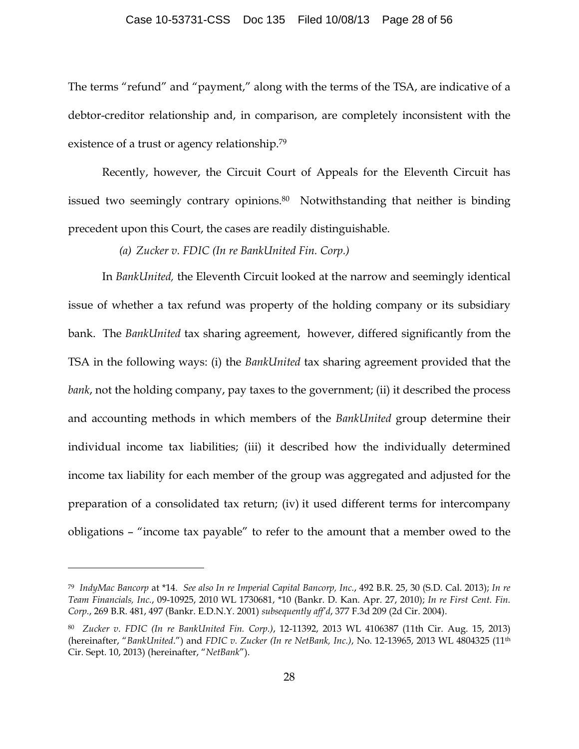#### Case 10-53731-CSS Doc 135 Filed 10/08/13 Page 28 of 56

The terms "refund" and "payment," along with the terms of the TSA, are indicative of a debtor-creditor relationship and, in comparison, are completely inconsistent with the existence of a trust or agency relationship.79

Recently, however, the Circuit Court of Appeals for the Eleventh Circuit has issued two seemingly contrary opinions. 80 Notwithstanding that neither is binding precedent upon this Court, the cases are readily distinguishable.

*(a) Zucker v. FDIC (In re BankUnited Fin. Corp.)*

In *BankUnited,* the Eleventh Circuit looked at the narrow and seemingly identical issue of whether a tax refund was property of the holding company or its subsidiary bank. The *BankUnited* tax sharing agreement, however, differed significantly from the TSA in the following ways: (i) the *BankUnited* tax sharing agreement provided that the *bank*, not the holding company, pay taxes to the government; (ii) it described the process and accounting methods in which members of the *BankUnited* group determine their individual income tax liabilities; (iii) it described how the individually determined income tax liability for each member of the group was aggregated and adjusted for the preparation of a consolidated tax return; (iv) it used different terms for intercompany obligations – "income tax payable" to refer to the amount that a member owed to the

<sup>79</sup> *IndyMac Bancorp* at \*14. *See also In re Imperial Capital Bancorp, Inc.*, 492 B.R. 25, 30 (S.D. Cal. 2013); *In re Team Financials, Inc.*, 09-10925, 2010 WL 1730681, \*10 (Bankr. D. Kan. Apr. 27, 2010); *In re First Cent. Fin. Corp.*, 269 B.R. 481, 497 (Bankr. E.D.N.Y. 2001) *subsequently aff'd*, 377 F.3d 209 (2d Cir. 2004).

<sup>80</sup> *Zucker v. FDIC (In re BankUnited Fin. Corp.)*, 12-11392, 2013 WL 4106387 (11th Cir. Aug. 15, 2013) (hereinafter, "*BankUnited*.") and *FDIC v. Zucker (In re NetBank, Inc.)*, No. 12-13965, 2013 WL 4804325 (11th Cir. Sept. 10, 2013) (hereinafter, "*NetBank*").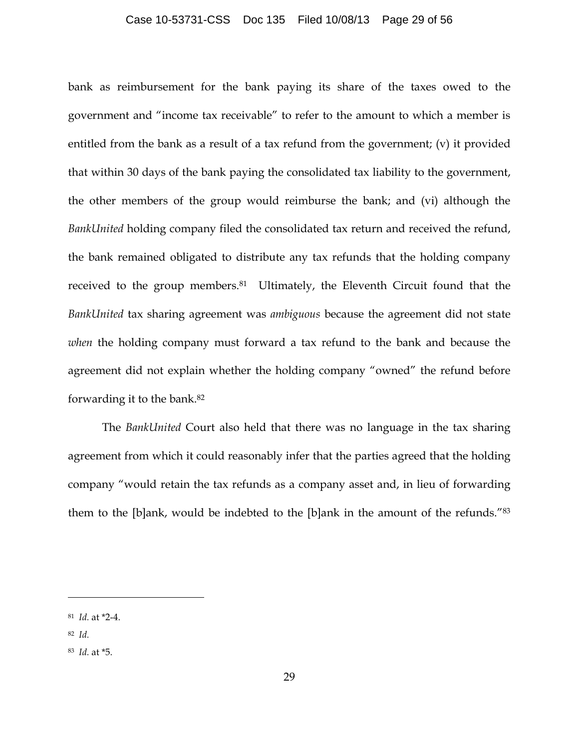#### Case 10-53731-CSS Doc 135 Filed 10/08/13 Page 29 of 56

bank as reimbursement for the bank paying its share of the taxes owed to the government and "income tax receivable" to refer to the amount to which a member is entitled from the bank as a result of a tax refund from the government; (v) it provided that within 30 days of the bank paying the consolidated tax liability to the government, the other members of the group would reimburse the bank; and (vi) although the *BankUnited* holding company filed the consolidated tax return and received the refund, the bank remained obligated to distribute any tax refunds that the holding company received to the group members.<sup>81</sup> Ultimately, the Eleventh Circuit found that the *BankUnited* tax sharing agreement was *ambiguous* because the agreement did not state *when* the holding company must forward a tax refund to the bank and because the agreement did not explain whether the holding company "owned" the refund before forwarding it to the bank.82

The *BankUnited* Court also held that there was no language in the tax sharing agreement from which it could reasonably infer that the parties agreed that the holding company "would retain the tax refunds as a company asset and, in lieu of forwarding them to the [b]ank, would be indebted to the [b]ank in the amount of the refunds."83

<sup>81</sup> *Id.* at \*2-4.

<sup>82</sup> *Id.*

<sup>83</sup> *Id.* at \*5.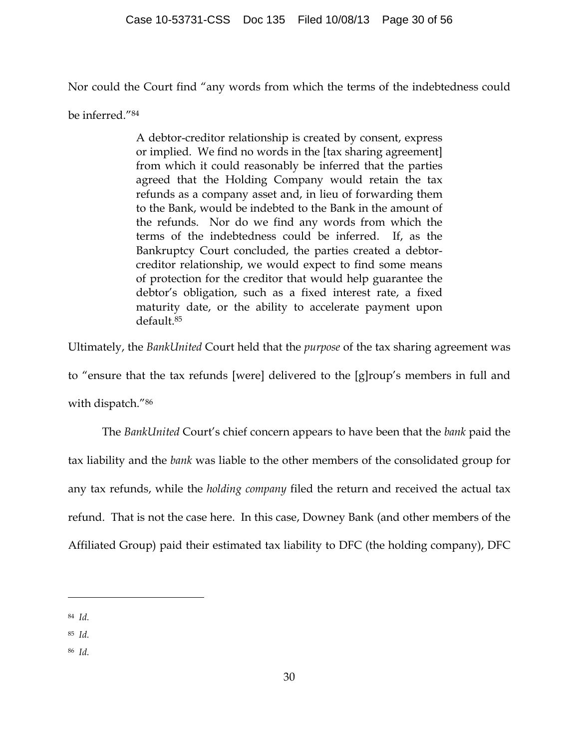Nor could the Court find "any words from which the terms of the indebtedness could

be inferred."84

A debtor-creditor relationship is created by consent, express or implied. We find no words in the [tax sharing agreement] from which it could reasonably be inferred that the parties agreed that the Holding Company would retain the tax refunds as a company asset and, in lieu of forwarding them to the Bank, would be indebted to the Bank in the amount of the refunds. Nor do we find any words from which the terms of the indebtedness could be inferred. If, as the Bankruptcy Court concluded, the parties created a debtorcreditor relationship, we would expect to find some means of protection for the creditor that would help guarantee the debtor's obligation, such as a fixed interest rate, a fixed maturity date, or the ability to accelerate payment upon default.85

Ultimately, the *BankUnited* Court held that the *purpose* of the tax sharing agreement was

to "ensure that the tax refunds [were] delivered to the [g]roup's members in full and

with dispatch."86

The *BankUnited* Court's chief concern appears to have been that the *bank* paid the tax liability and the *bank* was liable to the other members of the consolidated group for any tax refunds, while the *holding company* filed the return and received the actual tax refund. That is not the case here. In this case, Downey Bank (and other members of the Affiliated Group) paid their estimated tax liability to DFC (the holding company), DFC

- 85 *Id.*
- 86 *Id.*

<sup>84</sup> *Id.*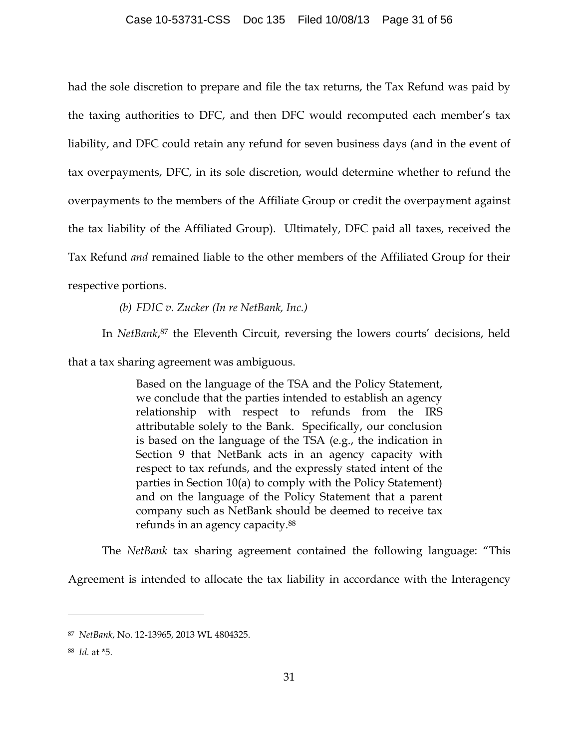had the sole discretion to prepare and file the tax returns, the Tax Refund was paid by the taxing authorities to DFC, and then DFC would recomputed each member's tax liability, and DFC could retain any refund for seven business days (and in the event of tax overpayments, DFC, in its sole discretion, would determine whether to refund the overpayments to the members of the Affiliate Group or credit the overpayment against the tax liability of the Affiliated Group). Ultimately, DFC paid all taxes, received the Tax Refund *and* remained liable to the other members of the Affiliated Group for their respective portions.

*(b) FDIC v. Zucker (In re NetBank, Inc.)*

In *NetBank*,<sup>87</sup> the Eleventh Circuit, reversing the lowers courts' decisions, held

that a tax sharing agreement was ambiguous.

Based on the language of the TSA and the Policy Statement, we conclude that the parties intended to establish an agency relationship with respect to refunds from the IRS attributable solely to the Bank. Specifically, our conclusion is based on the language of the TSA (e.g., the indication in Section 9 that NetBank acts in an agency capacity with respect to tax refunds, and the expressly stated intent of the parties in Section 10(a) to comply with the Policy Statement) and on the language of the Policy Statement that a parent company such as NetBank should be deemed to receive tax refunds in an agency capacity.88

The *NetBank* tax sharing agreement contained the following language: "This

Agreement is intended to allocate the tax liability in accordance with the Interagency

<sup>87</sup> *NetBank*, No. 12-13965, 2013 WL 4804325.

<sup>88</sup> *Id.* at \*5.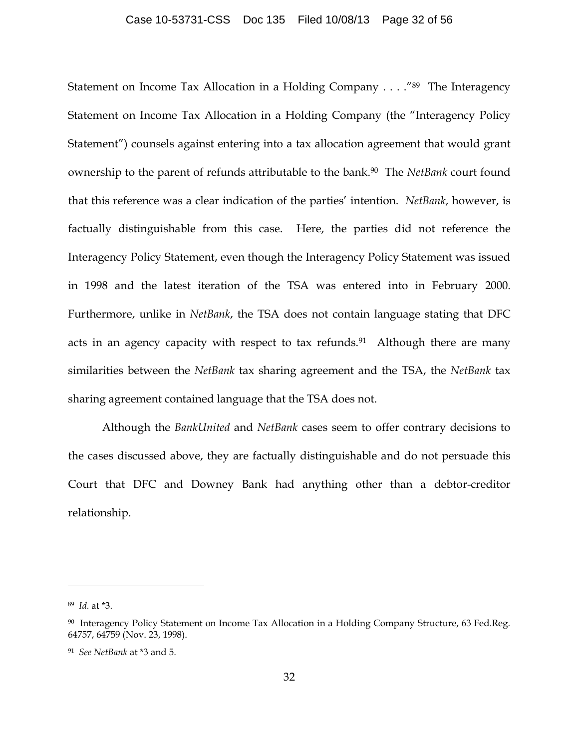#### Case 10-53731-CSS Doc 135 Filed 10/08/13 Page 32 of 56

Statement on Income Tax Allocation in a Holding Company . . . ."89 The Interagency Statement on Income Tax Allocation in a Holding Company (the "Interagency Policy Statement") counsels against entering into a tax allocation agreement that would grant ownership to the parent of refunds attributable to the bank.90 The *NetBank* court found that this reference was a clear indication of the parties' intention. *NetBank*, however, is factually distinguishable from this case. Here, the parties did not reference the Interagency Policy Statement, even though the Interagency Policy Statement was issued in 1998 and the latest iteration of the TSA was entered into in February 2000. Furthermore, unlike in *NetBank*, the TSA does not contain language stating that DFC acts in an agency capacity with respect to tax refunds.<sup>91</sup> Although there are many similarities between the *NetBank* tax sharing agreement and the TSA, the *NetBank* tax sharing agreement contained language that the TSA does not.

Although the *BankUnited* and *NetBank* cases seem to offer contrary decisions to the cases discussed above, they are factually distinguishable and do not persuade this Court that DFC and Downey Bank had anything other than a debtor-creditor relationship.

<sup>89</sup> *Id.* at \*3.

<sup>90</sup> Interagency Policy Statement on Income Tax Allocation in a Holding Company Structure, 63 Fed.Reg. 64757, 64759 (Nov. 23, 1998).

<sup>91</sup> *See NetBank* at \*3 and 5.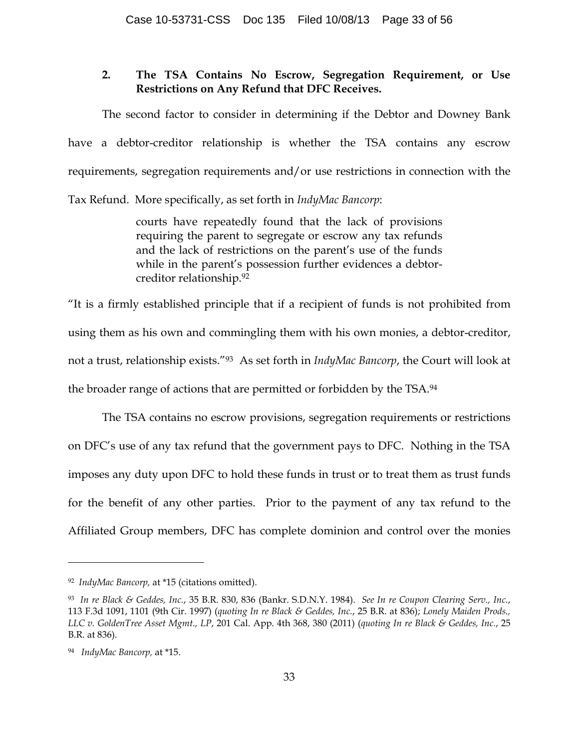## **2. The TSA Contains No Escrow, Segregation Requirement, or Use Restrictions on Any Refund that DFC Receives.**

The second factor to consider in determining if the Debtor and Downey Bank have a debtor-creditor relationship is whether the TSA contains any escrow requirements, segregation requirements and/or use restrictions in connection with the

Tax Refund. More specifically, as set forth in *IndyMac Bancorp*:

courts have repeatedly found that the lack of provisions requiring the parent to segregate or escrow any tax refunds and the lack of restrictions on the parent's use of the funds while in the parent's possession further evidences a debtorcreditor relationship.92

"It is a firmly established principle that if a recipient of funds is not prohibited from using them as his own and commingling them with his own monies, a debtor-creditor, not a trust, relationship exists."93 As set forth in *IndyMac Bancorp*, the Court will look at the broader range of actions that are permitted or forbidden by the TSA.94

The TSA contains no escrow provisions, segregation requirements or restrictions on DFC's use of any tax refund that the government pays to DFC. Nothing in the TSA imposes any duty upon DFC to hold these funds in trust or to treat them as trust funds for the benefit of any other parties. Prior to the payment of any tax refund to the Affiliated Group members, DFC has complete dominion and control over the monies

<sup>92</sup> *IndyMac Bancorp,* at \*15 (citations omitted).

<sup>93</sup> *In re Black & Geddes, Inc.*, 35 B.R. 830, 836 (Bankr. S.D.N.Y. 1984). *See In re Coupon Clearing Serv., Inc.*, 113 F.3d 1091, 1101 (9th Cir. 1997) (*quoting In re Black & Geddes, Inc.*, 25 B.R. at 836); *Lonely Maiden Prods., LLC v. GoldenTree Asset Mgmt., LP*, 201 Cal. App. 4th 368, 380 (2011) (*quoting In re Black & Geddes, Inc.*, 25 B.R. at 836).

<sup>94</sup> *IndyMac Bancorp,* at \*15.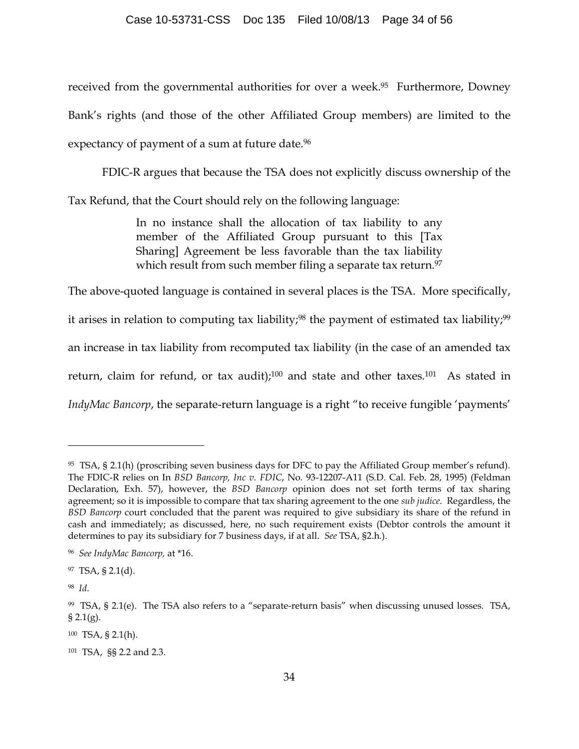received from the governmental authorities for over a week.<sup>95</sup> Furthermore, Downey Bank's rights (and those of the other Affiliated Group members) are limited to the expectancy of payment of a sum at future date.<sup>96</sup>

FDIC-R argues that because the TSA does not explicitly discuss ownership of the

Tax Refund, that the Court should rely on the following language:

In no instance shall the allocation of tax liability to any member of the Affiliated Group pursuant to this [Tax Sharing] Agreement be less favorable than the tax liability which result from such member filing a separate tax return.<sup>97</sup>

The above-quoted language is contained in several places is the TSA. More specifically, it arises in relation to computing tax liability;<sup>98</sup> the payment of estimated tax liability;<sup>99</sup> an increase in tax liability from recomputed tax liability (in the case of an amended tax return, claim for refund, or tax audit); $100$  and state and other taxes. $101$  As stated in *IndyMac Bancorp*, the separate-return language is a right "to receive fungible 'payments'

<sup>95</sup> TSA, § 2.1(h) (proscribing seven business days for DFC to pay the Affiliated Group member's refund). The FDIC-R relies on In *BSD Bancorp, Inc v. FDIC*, No. 93-12207-A11 (S.D. Cal. Feb. 28, 1995) (Feldman Declaration, Exh. 57), however, the *BSD Bancorp* opinion does not set forth terms of tax sharing agreement; so it is impossible to compare that tax sharing agreement to the one *sub judice*. Regardless, the *BSD Bancorp* court concluded that the parent was required to give subsidiary its share of the refund in cash and immediately; as discussed, here, no such requirement exists (Debtor controls the amount it determines to pay its subsidiary for 7 business days, if at all. *See* TSA, §2.h.).

<sup>96</sup> *See IndyMac Bancorp,* at \*16.

<sup>97</sup> TSA, § 2.1(d).

<sup>98</sup> *Id*.

<sup>99</sup> TSA, § 2.1(e). The TSA also refers to a "separate-return basis" when discussing unused losses. TSA,  $§ 2.1(g).$ 

<sup>100</sup> TSA, § 2.1(h).

<sup>101</sup> TSA, §§ 2.2 and 2.3.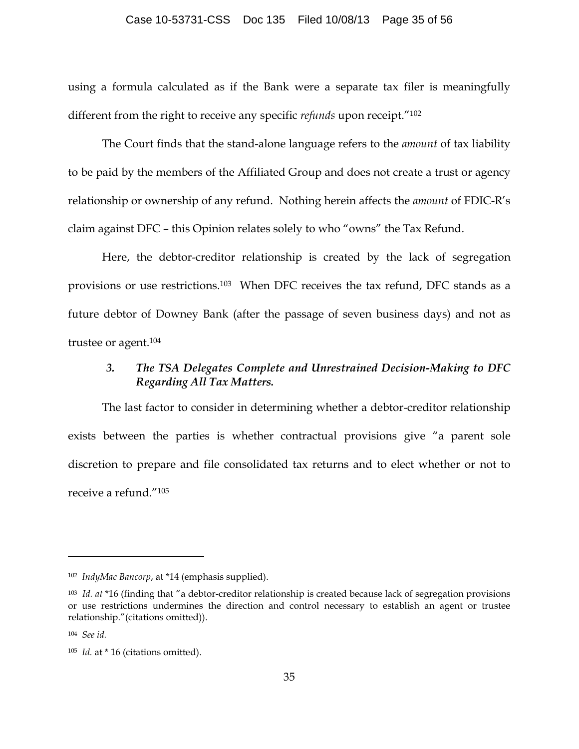#### Case 10-53731-CSS Doc 135 Filed 10/08/13 Page 35 of 56

using a formula calculated as if the Bank were a separate tax filer is meaningfully different from the right to receive any specific *refunds* upon receipt."102

The Court finds that the stand-alone language refers to the *amount* of tax liability to be paid by the members of the Affiliated Group and does not create a trust or agency relationship or ownership of any refund. Nothing herein affects the *amount* of FDIC-R's claim against DFC – this Opinion relates solely to who "owns" the Tax Refund.

Here, the debtor-creditor relationship is created by the lack of segregation provisions or use restrictions.103 When DFC receives the tax refund, DFC stands as a future debtor of Downey Bank (after the passage of seven business days) and not as trustee or agent.104

# *3. The TSA Delegates Complete and Unrestrained Decision-Making to DFC Regarding All Tax Matters.*

The last factor to consider in determining whether a debtor-creditor relationship exists between the parties is whether contractual provisions give "a parent sole discretion to prepare and file consolidated tax returns and to elect whether or not to receive a refund."105

<sup>102</sup> *IndyMac Bancorp*, at \*14 (emphasis supplied).

<sup>103</sup> *Id. at* \*16 (finding that "a debtor-creditor relationship is created because lack of segregation provisions or use restrictions undermines the direction and control necessary to establish an agent or trustee relationship."(citations omitted)).

<sup>104</sup> *See id.*

<sup>105</sup> *Id.* at \* 16 (citations omitted).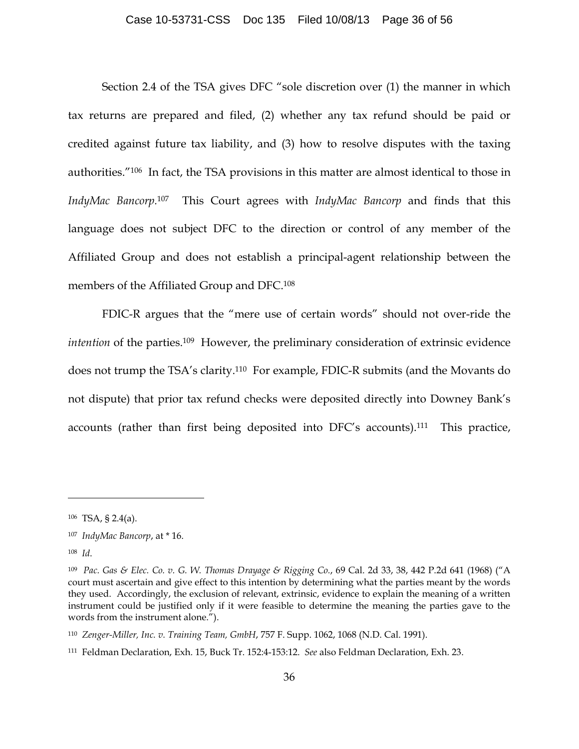Section 2.4 of the TSA gives DFC "sole discretion over (1) the manner in which tax returns are prepared and filed, (2) whether any tax refund should be paid or credited against future tax liability, and (3) how to resolve disputes with the taxing authorities."106 In fact, the TSA provisions in this matter are almost identical to those in *IndyMac Bancorp.* <sup>107</sup> This Court agrees with *IndyMac Bancorp* and finds that this language does not subject DFC to the direction or control of any member of the Affiliated Group and does not establish a principal-agent relationship between the members of the Affiliated Group and DFC. 108

FDIC-R argues that the "mere use of certain words" should not over-ride the *intention* of the parties.109 However, the preliminary consideration of extrinsic evidence does not trump the TSA's clarity. 110 For example, FDIC-R submits (and the Movants do not dispute) that prior tax refund checks were deposited directly into Downey Bank's accounts (rather than first being deposited into DFC's accounts).111 This practice,

<sup>106</sup> TSA, § 2.4(a).

<sup>107</sup> *IndyMac Bancorp*, at \* 16.

<sup>108</sup> *Id*.

<sup>109</sup> *Pac. Gas & Elec. Co. v. G. W. Thomas Drayage & Rigging Co.*, 69 Cal. 2d 33, 38, 442 P.2d 641 (1968) ("A court must ascertain and give effect to this intention by determining what the parties meant by the words they used. Accordingly, the exclusion of relevant, extrinsic, evidence to explain the meaning of a written instrument could be justified only if it were feasible to determine the meaning the parties gave to the words from the instrument alone.").

<sup>110</sup> *Zenger-Miller, Inc. v. Training Team, GmbH*, 757 F. Supp. 1062, 1068 (N.D. Cal. 1991).

<sup>111</sup> Feldman Declaration, Exh. 15, Buck Tr. 152:4-153:12. *See* also Feldman Declaration, Exh. 23.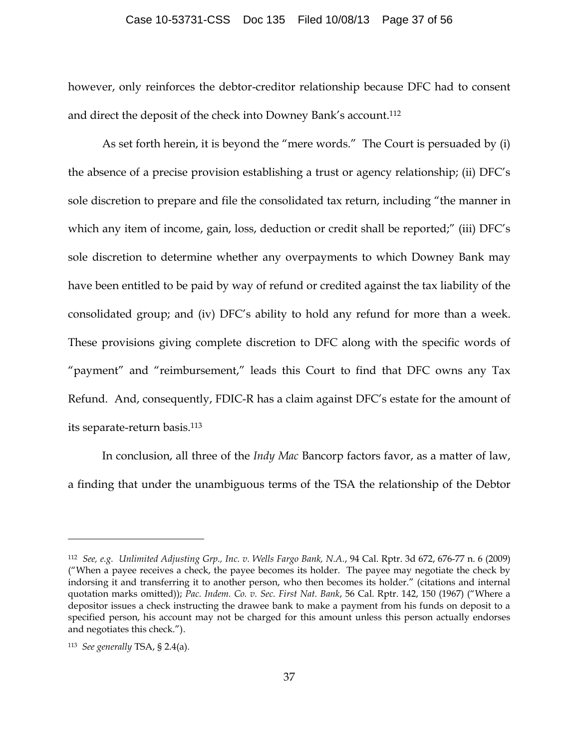#### Case 10-53731-CSS Doc 135 Filed 10/08/13 Page 37 of 56

however, only reinforces the debtor-creditor relationship because DFC had to consent and direct the deposit of the check into Downey Bank's account.112

As set forth herein, it is beyond the "mere words." The Court is persuaded by (i) the absence of a precise provision establishing a trust or agency relationship; (ii) DFC's sole discretion to prepare and file the consolidated tax return, including "the manner in which any item of income, gain, loss, deduction or credit shall be reported;" (iii) DFC's sole discretion to determine whether any overpayments to which Downey Bank may have been entitled to be paid by way of refund or credited against the tax liability of the consolidated group; and (iv) DFC's ability to hold any refund for more than a week. These provisions giving complete discretion to DFC along with the specific words of "payment" and "reimbursement," leads this Court to find that DFC owns any Tax Refund. And, consequently, FDIC-R has a claim against DFC's estate for the amount of its separate-return basis.113

In conclusion, all three of the *Indy Mac* Bancorp factors favor, as a matter of law, a finding that under the unambiguous terms of the TSA the relationship of the Debtor

<sup>112</sup> *See, e.g. Unlimited Adjusting Grp., Inc. v. Wells Fargo Bank, N.A.*, 94 Cal. Rptr. 3d 672, 676-77 n. 6 (2009) ("When a payee receives a check, the payee becomes its holder. The payee may negotiate the check by indorsing it and transferring it to another person, who then becomes its holder." (citations and internal quotation marks omitted)); *Pac. Indem. Co. v. Sec. First Nat. Bank*, 56 Cal. Rptr. 142, 150 (1967) ("Where a depositor issues a check instructing the drawee bank to make a payment from his funds on deposit to a specified person, his account may not be charged for this amount unless this person actually endorses and negotiates this check.").

<sup>113</sup> *See generally* TSA, § 2.4(a).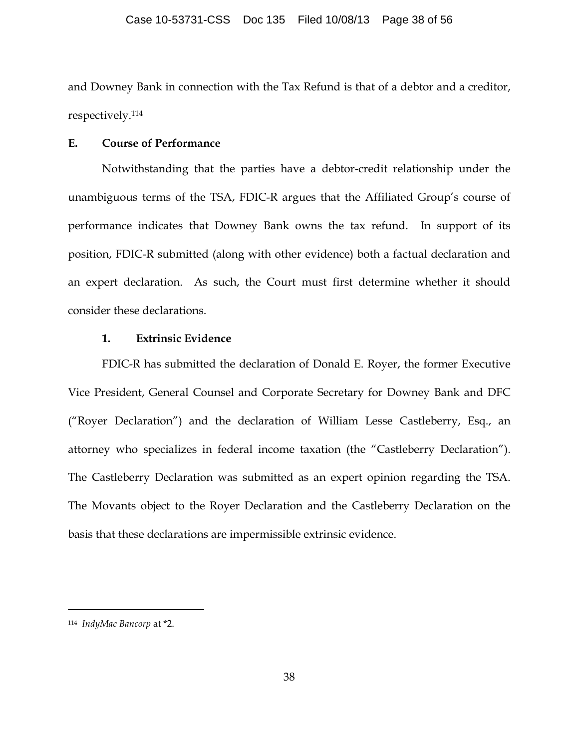and Downey Bank in connection with the Tax Refund is that of a debtor and a creditor, respectively.114

### **E. Course of Performance**

Notwithstanding that the parties have a debtor-credit relationship under the unambiguous terms of the TSA, FDIC-R argues that the Affiliated Group's course of performance indicates that Downey Bank owns the tax refund. In support of its position, FDIC-R submitted (along with other evidence) both a factual declaration and an expert declaration. As such, the Court must first determine whether it should consider these declarations.

## **1. Extrinsic Evidence**

FDIC-R has submitted the declaration of Donald E. Royer, the former Executive Vice President, General Counsel and Corporate Secretary for Downey Bank and DFC ("Royer Declaration") and the declaration of William Lesse Castleberry, Esq., an attorney who specializes in federal income taxation (the "Castleberry Declaration"). The Castleberry Declaration was submitted as an expert opinion regarding the TSA. The Movants object to the Royer Declaration and the Castleberry Declaration on the basis that these declarations are impermissible extrinsic evidence.

<sup>114</sup> *IndyMac Bancorp* at \*2.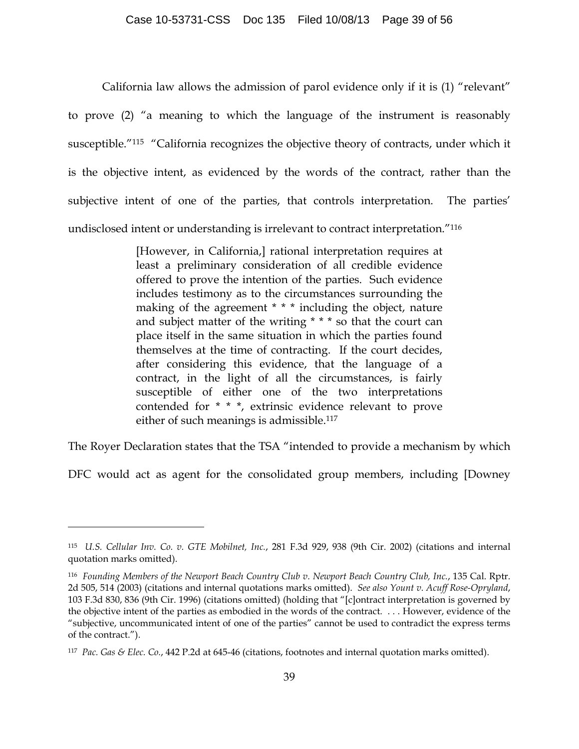California law allows the admission of parol evidence only if it is (1) "relevant" to prove (2) "a meaning to which the language of the instrument is reasonably susceptible."115 "California recognizes the objective theory of contracts, under which it is the objective intent, as evidenced by the words of the contract, rather than the subjective intent of one of the parties, that controls interpretation. The parties' undisclosed intent or understanding is irrelevant to contract interpretation."116

> [However, in California,] rational interpretation requires at least a preliminary consideration of all credible evidence offered to prove the intention of the parties. Such evidence includes testimony as to the circumstances surrounding the making of the agreement \* \* \* including the object, nature and subject matter of the writing \* \* \* so that the court can place itself in the same situation in which the parties found themselves at the time of contracting. If the court decides, after considering this evidence, that the language of a contract, in the light of all the circumstances, is fairly susceptible of either one of the two interpretations contended for \* \* \*, extrinsic evidence relevant to prove either of such meanings is admissible.<sup>117</sup>

The Royer Declaration states that the TSA "intended to provide a mechanism by which

DFC would act as agent for the consolidated group members, including [Downey

<sup>115</sup> *U.S. Cellular Inv. Co. v. GTE Mobilnet, Inc.*, 281 F.3d 929, 938 (9th Cir. 2002) (citations and internal quotation marks omitted).

<sup>116</sup> *Founding Members of the Newport Beach Country Club v. Newport Beach Country Club, Inc.*, 135 Cal. Rptr. 2d 505, 514 (2003) (citations and internal quotations marks omitted). *See also Yount v. Acuff Rose-Opryland*, 103 F.3d 830, 836 (9th Cir. 1996) (citations omitted) (holding that "[c]ontract interpretation is governed by the objective intent of the parties as embodied in the words of the contract. . . . However, evidence of the "subjective, uncommunicated intent of one of the parties" cannot be used to contradict the express terms of the contract.").

<sup>117</sup> *Pac. Gas & Elec. Co.*, 442 P.2d at 645-46 (citations, footnotes and internal quotation marks omitted).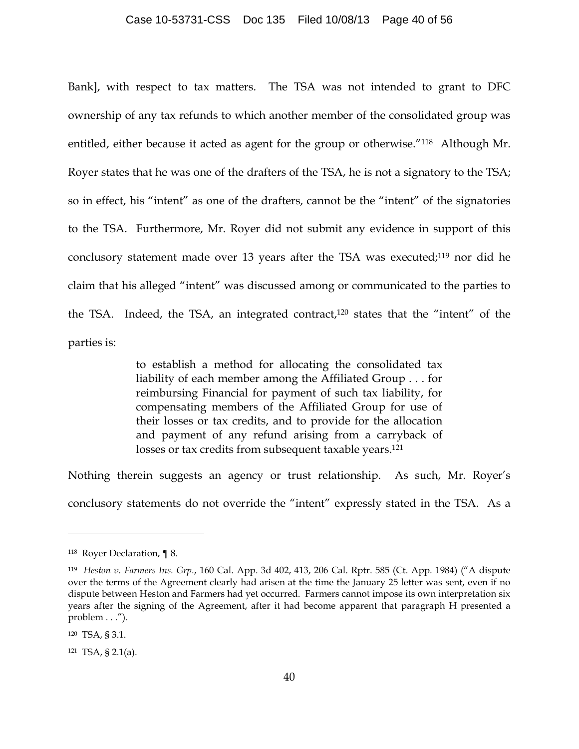#### Case 10-53731-CSS Doc 135 Filed 10/08/13 Page 40 of 56

Bank], with respect to tax matters. The TSA was not intended to grant to DFC ownership of any tax refunds to which another member of the consolidated group was entitled, either because it acted as agent for the group or otherwise."118 Although Mr. Royer states that he was one of the drafters of the TSA, he is not a signatory to the TSA; so in effect, his "intent" as one of the drafters, cannot be the "intent" of the signatories to the TSA. Furthermore, Mr. Royer did not submit any evidence in support of this conclusory statement made over 13 years after the TSA was executed;<sup>119</sup> nor did he claim that his alleged "intent" was discussed among or communicated to the parties to the TSA. Indeed, the TSA, an integrated contract, <sup>120</sup> states that the "intent" of the parties is:

> to establish a method for allocating the consolidated tax liability of each member among the Affiliated Group . . . for reimbursing Financial for payment of such tax liability, for compensating members of the Affiliated Group for use of their losses or tax credits, and to provide for the allocation and payment of any refund arising from a carryback of losses or tax credits from subsequent taxable years.<sup>121</sup>

Nothing therein suggests an agency or trust relationship. As such, Mr. Royer's conclusory statements do not override the "intent" expressly stated in the TSA. As a

<sup>118</sup> Royer Declaration, ¶ 8.

<sup>119</sup> *Heston v. Farmers Ins. Grp.*, 160 Cal. App. 3d 402, 413, 206 Cal. Rptr. 585 (Ct. App. 1984) ("A dispute over the terms of the Agreement clearly had arisen at the time the January 25 letter was sent, even if no dispute between Heston and Farmers had yet occurred. Farmers cannot impose its own interpretation six years after the signing of the Agreement, after it had become apparent that paragraph H presented a problem . . .").

<sup>120</sup> TSA, § 3.1.

<sup>121</sup> TSA, § 2.1(a).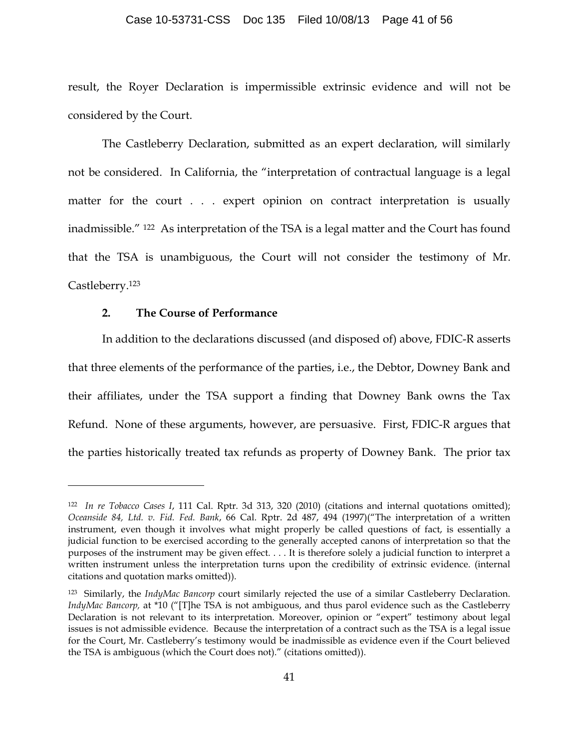#### Case 10-53731-CSS Doc 135 Filed 10/08/13 Page 41 of 56

result, the Royer Declaration is impermissible extrinsic evidence and will not be considered by the Court.

The Castleberry Declaration, submitted as an expert declaration, will similarly not be considered. In California, the "interpretation of contractual language is a legal matter for the court . . . expert opinion on contract interpretation is usually inadmissible." 122 As interpretation of the TSA is a legal matter and the Court has found that the TSA is unambiguous, the Court will not consider the testimony of Mr. Castleberry.123

## **2. The Course of Performance**

 $\overline{a}$ 

In addition to the declarations discussed (and disposed of) above, FDIC-R asserts that three elements of the performance of the parties, i.e., the Debtor, Downey Bank and their affiliates, under the TSA support a finding that Downey Bank owns the Tax Refund. None of these arguments, however, are persuasive. First, FDIC-R argues that the parties historically treated tax refunds as property of Downey Bank. The prior tax

<sup>122</sup> *In re Tobacco Cases I*, 111 Cal. Rptr. 3d 313, 320 (2010) (citations and internal quotations omitted); *Oceanside 84, Ltd. v. Fid. Fed. Bank*, 66 Cal. Rptr. 2d 487, 494 (1997)("The interpretation of a written instrument, even though it involves what might properly be called questions of fact, is essentially a judicial function to be exercised according to the generally accepted canons of interpretation so that the purposes of the instrument may be given effect. . . . It is therefore solely a judicial function to interpret a written instrument unless the interpretation turns upon the credibility of extrinsic evidence. (internal citations and quotation marks omitted)).

<sup>123</sup> Similarly, the *IndyMac Bancorp* court similarly rejected the use of a similar Castleberry Declaration. *IndyMac Bancorp,* at \*10 ("[T]he TSA is not ambiguous, and thus parol evidence such as the Castleberry Declaration is not relevant to its interpretation. Moreover, opinion or "expert" testimony about legal issues is not admissible evidence. Because the interpretation of a contract such as the TSA is a legal issue for the Court, Mr. Castleberry's testimony would be inadmissible as evidence even if the Court believed the TSA is ambiguous (which the Court does not)." (citations omitted)).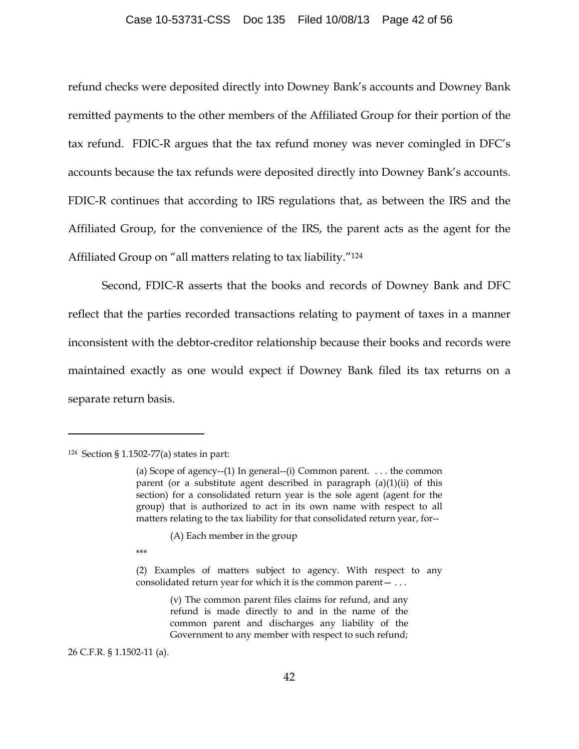#### Case 10-53731-CSS Doc 135 Filed 10/08/13 Page 42 of 56

refund checks were deposited directly into Downey Bank's accounts and Downey Bank remitted payments to the other members of the Affiliated Group for their portion of the tax refund. FDIC-R argues that the tax refund money was never comingled in DFC's accounts because the tax refunds were deposited directly into Downey Bank's accounts. FDIC-R continues that according to IRS regulations that, as between the IRS and the Affiliated Group, for the convenience of the IRS, the parent acts as the agent for the Affiliated Group on "all matters relating to tax liability."124

Second, FDIC-R asserts that the books and records of Downey Bank and DFC reflect that the parties recorded transactions relating to payment of taxes in a manner inconsistent with the debtor-creditor relationship because their books and records were maintained exactly as one would expect if Downey Bank filed its tax returns on a separate return basis.

 $\overline{a}$ 

(A) Each member in the group

\*\*\*

(v) The common parent files claims for refund, and any refund is made directly to and in the name of the common parent and discharges any liability of the Government to any member with respect to such refund;

26 C.F.R. § 1.1502-11 (a).

 $124$  Section § 1.1502-77(a) states in part:

<sup>(</sup>a) Scope of agency--(1) In general--(i) Common parent.  $\dots$  the common parent (or a substitute agent described in paragraph (a)(1)(ii) of this section) for a consolidated return year is the sole agent (agent for the group) that is authorized to act in its own name with respect to all matters relating to the tax liability for that consolidated return year, for--

<sup>(2)</sup> Examples of matters subject to agency. With respect to any consolidated return year for which it is the common parent— . . .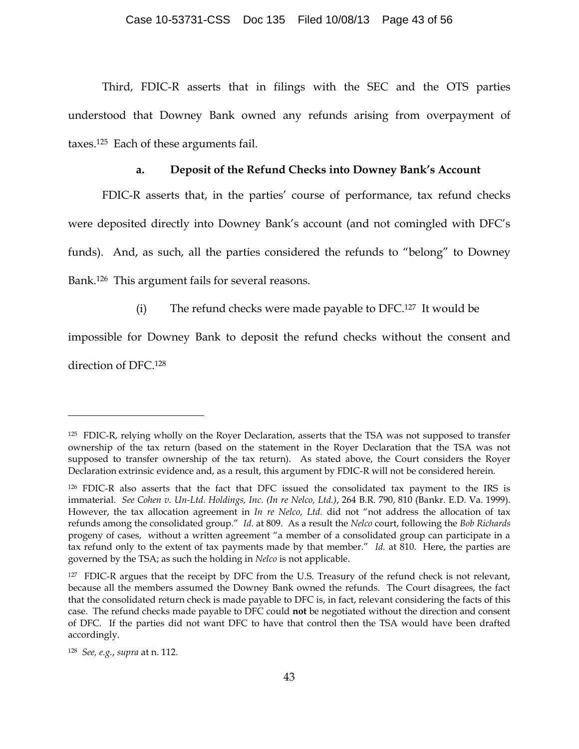Third, FDIC-R asserts that in filings with the SEC and the OTS parties understood that Downey Bank owned any refunds arising from overpayment of taxes.125 Each of these arguments fail.

#### **a. Deposit of the Refund Checks into Downey Bank's Account**

FDIC-R asserts that, in the parties' course of performance, tax refund checks were deposited directly into Downey Bank's account (and not comingled with DFC's funds). And, as such, all the parties considered the refunds to "belong" to Downey Bank.126 This argument fails for several reasons.

(i) The refund checks were made payable to DFC.127 It would be

impossible for Downey Bank to deposit the refund checks without the consent and

direction of DFC.128

 $\overline{a}$ 

128 *See, e.g.*, *supra* at n. 112.

<sup>125</sup> FDIC-R, relying wholly on the Royer Declaration, asserts that the TSA was not supposed to transfer ownership of the tax return (based on the statement in the Royer Declaration that the TSA was not supposed to transfer ownership of the tax return). As stated above, the Court considers the Royer Declaration extrinsic evidence and, as a result, this argument by FDIC-R will not be considered herein.

<sup>126</sup> FDIC-R also asserts that the fact that DFC issued the consolidated tax payment to the IRS is immaterial. *See Cohen v. Un-Ltd. Holdings, Inc. (In re Nelco, Ltd.)*, 264 B.R. 790, 810 (Bankr. E.D. Va. 1999). However, the tax allocation agreement in *In re Nelco, Ltd.* did not "not address the allocation of tax refunds among the consolidated group." *Id.* at 809. As a result the *Nelco* court, following the *Bob Richards* progeny of cases, without a written agreement "a member of a consolidated group can participate in a tax refund only to the extent of tax payments made by that member." *Id.* at 810. Here, the parties are governed by the TSA; as such the holding in *Nelco* is not applicable.

<sup>&</sup>lt;sup>127</sup> FDIC-R argues that the receipt by DFC from the U.S. Treasury of the refund check is not relevant, because all the members assumed the Downey Bank owned the refunds. The Court disagrees, the fact that the consolidated return check is made payable to DFC is, in fact, relevant considering the facts of this case. The refund checks made payable to DFC could **not** be negotiated without the direction and consent of DFC. If the parties did not want DFC to have that control then the TSA would have been drafted accordingly.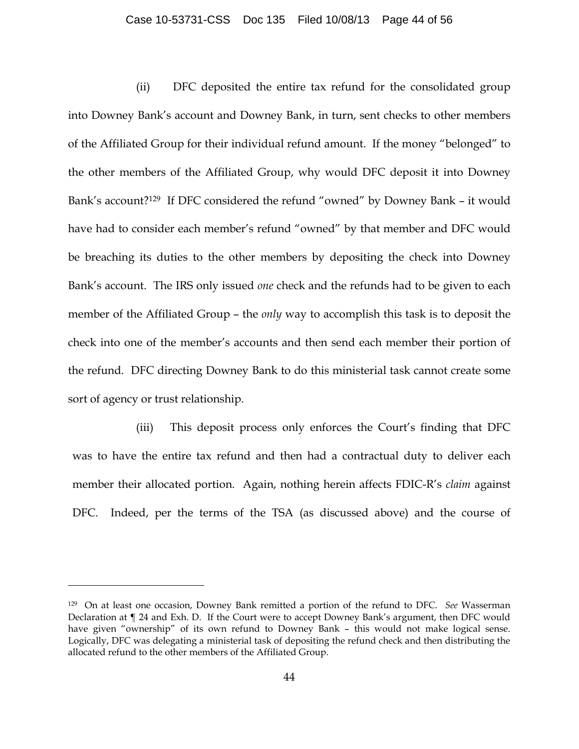#### Case 10-53731-CSS Doc 135 Filed 10/08/13 Page 44 of 56

(ii) DFC deposited the entire tax refund for the consolidated group into Downey Bank's account and Downey Bank, in turn, sent checks to other members of the Affiliated Group for their individual refund amount. If the money "belonged" to the other members of the Affiliated Group, why would DFC deposit it into Downey Bank's account?129 If DFC considered the refund "owned" by Downey Bank – it would have had to consider each member's refund "owned" by that member and DFC would be breaching its duties to the other members by depositing the check into Downey Bank's account. The IRS only issued *one* check and the refunds had to be given to each member of the Affiliated Group – the *only* way to accomplish this task is to deposit the check into one of the member's accounts and then send each member their portion of the refund. DFC directing Downey Bank to do this ministerial task cannot create some sort of agency or trust relationship.

(iii) This deposit process only enforces the Court's finding that DFC was to have the entire tax refund and then had a contractual duty to deliver each member their allocated portion. Again, nothing herein affects FDIC-R's *claim* against DFC. Indeed, per the terms of the TSA (as discussed above) and the course of

<sup>129</sup> On at least one occasion, Downey Bank remitted a portion of the refund to DFC. *See* Wasserman Declaration at ¶ 24 and Exh. D. If the Court were to accept Downey Bank's argument, then DFC would have given "ownership" of its own refund to Downey Bank – this would not make logical sense. Logically, DFC was delegating a ministerial task of depositing the refund check and then distributing the allocated refund to the other members of the Affiliated Group.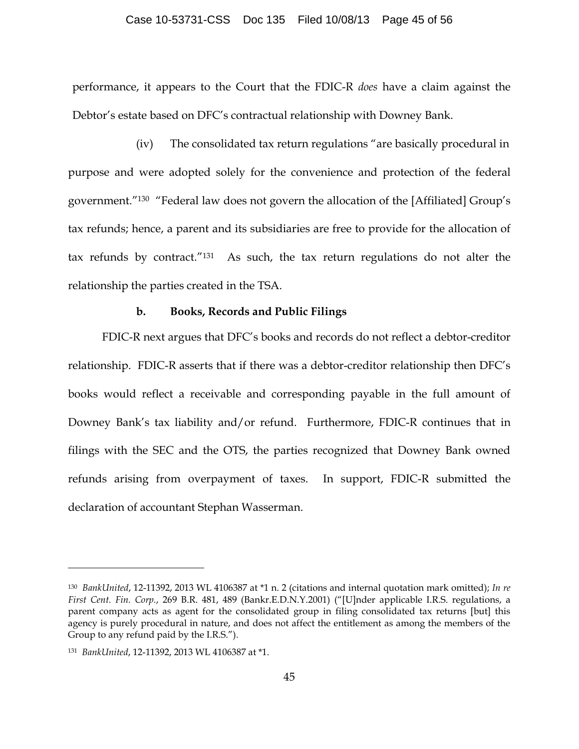#### Case 10-53731-CSS Doc 135 Filed 10/08/13 Page 45 of 56

performance, it appears to the Court that the FDIC-R *does* have a claim against the Debtor's estate based on DFC's contractual relationship with Downey Bank.

(iv) The consolidated tax return regulations "are basically procedural in purpose and were adopted solely for the convenience and protection of the federal government."130 "Federal law does not govern the allocation of the [Affiliated] Group's tax refunds; hence, a parent and its subsidiaries are free to provide for the allocation of tax refunds by contract."131 As such, the tax return regulations do not alter the relationship the parties created in the TSA.

### **b. Books, Records and Public Filings**

FDIC-R next argues that DFC's books and records do not reflect a debtor-creditor relationship. FDIC-R asserts that if there was a debtor-creditor relationship then DFC's books would reflect a receivable and corresponding payable in the full amount of Downey Bank's tax liability and/or refund. Furthermore, FDIC-R continues that in filings with the SEC and the OTS, the parties recognized that Downey Bank owned refunds arising from overpayment of taxes. In support, FDIC-R submitted the declaration of accountant Stephan Wasserman.

<sup>130</sup> *BankUnited*, 12-11392, 2013 WL 4106387 at \*1 n. 2 (citations and internal quotation mark omitted); *In re First Cent. Fin. Corp.*, 269 B.R. 481, 489 (Bankr.E.D.N.Y.2001) ("[U]nder applicable I.R.S. regulations, a parent company acts as agent for the consolidated group in filing consolidated tax returns [but] this agency is purely procedural in nature, and does not affect the entitlement as among the members of the Group to any refund paid by the I.R.S.").

<sup>131</sup> *BankUnited*, 12-11392, 2013 WL 4106387 at \*1.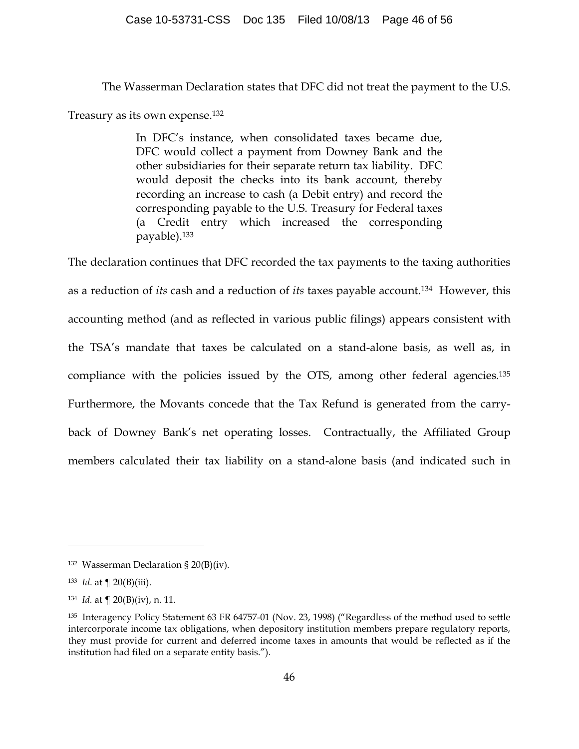The Wasserman Declaration states that DFC did not treat the payment to the U.S.

Treasury as its own expense.132

In DFC's instance, when consolidated taxes became due, DFC would collect a payment from Downey Bank and the other subsidiaries for their separate return tax liability. DFC would deposit the checks into its bank account, thereby recording an increase to cash (a Debit entry) and record the corresponding payable to the U.S. Treasury for Federal taxes (a Credit entry which increased the corresponding payable).133

The declaration continues that DFC recorded the tax payments to the taxing authorities as a reduction of *its* cash and a reduction of *its* taxes payable account.134 However, this accounting method (and as reflected in various public filings) appears consistent with the TSA's mandate that taxes be calculated on a stand-alone basis, as well as, in compliance with the policies issued by the OTS, among other federal agencies.135 Furthermore, the Movants concede that the Tax Refund is generated from the carryback of Downey Bank's net operating losses. Contractually, the Affiliated Group members calculated their tax liability on a stand-alone basis (and indicated such in

<sup>132</sup> Wasserman Declaration § 20(B)(iv).

<sup>133</sup> *Id*. at ¶ 20(B)(iii).

<sup>134</sup> *Id.* at ¶ 20(B)(iv), n. 11.

<sup>135</sup> Interagency Policy Statement 63 FR 64757-01 (Nov. 23, 1998) ("Regardless of the method used to settle intercorporate income tax obligations, when depository institution members prepare regulatory reports, they must provide for current and deferred income taxes in amounts that would be reflected as if the institution had filed on a separate entity basis.").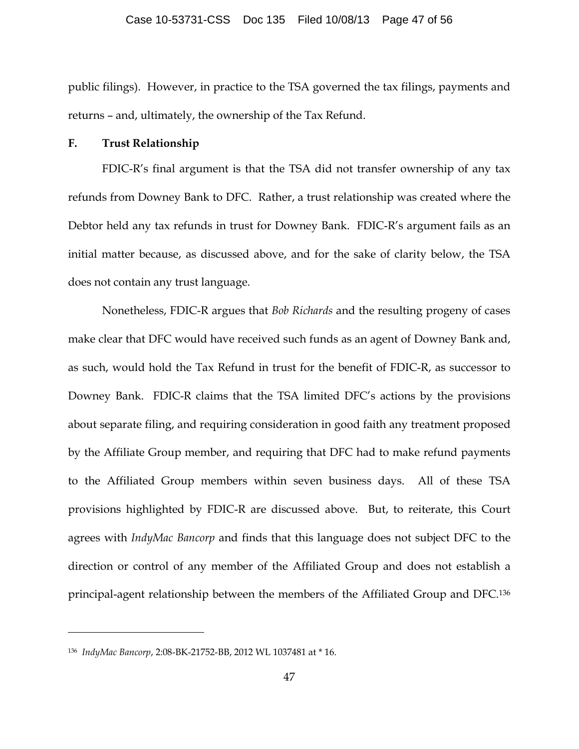public filings). However, in practice to the TSA governed the tax filings, payments and returns – and, ultimately, the ownership of the Tax Refund.

### **F. Trust Relationship**

FDIC-R's final argument is that the TSA did not transfer ownership of any tax refunds from Downey Bank to DFC. Rather, a trust relationship was created where the Debtor held any tax refunds in trust for Downey Bank. FDIC-R's argument fails as an initial matter because, as discussed above, and for the sake of clarity below, the TSA does not contain any trust language.

Nonetheless, FDIC-R argues that *Bob Richards* and the resulting progeny of cases make clear that DFC would have received such funds as an agent of Downey Bank and, as such, would hold the Tax Refund in trust for the benefit of FDIC-R, as successor to Downey Bank. FDIC-R claims that the TSA limited DFC's actions by the provisions about separate filing, and requiring consideration in good faith any treatment proposed by the Affiliate Group member, and requiring that DFC had to make refund payments to the Affiliated Group members within seven business days. All of these TSA provisions highlighted by FDIC-R are discussed above. But, to reiterate, this Court agrees with *IndyMac Bancorp* and finds that this language does not subject DFC to the direction or control of any member of the Affiliated Group and does not establish a principal-agent relationship between the members of the Affiliated Group and DFC.136

<sup>136</sup> *IndyMac Bancorp*, 2:08-BK-21752-BB, 2012 WL 1037481 at \* 16.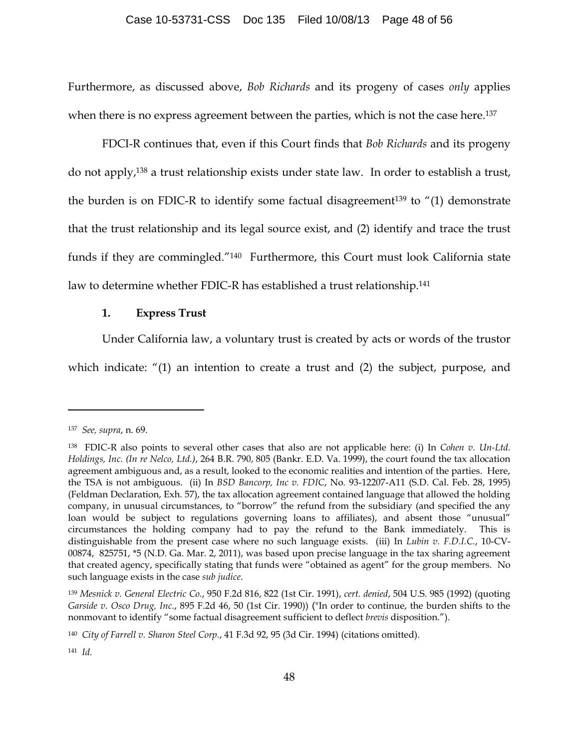#### Case 10-53731-CSS Doc 135 Filed 10/08/13 Page 48 of 56

Furthermore, as discussed above, *Bob Richards* and its progeny of cases *only* applies when there is no express agreement between the parties, which is not the case here. 137

FDCI-R continues that, even if this Court finds that *Bob Richards* and its progeny do not apply, <sup>138</sup> a trust relationship exists under state law. In order to establish a trust, the burden is on FDIC-R to identify some factual disagreement<sup>139</sup> to  $\ell(1)$  demonstrate that the trust relationship and its legal source exist, and (2) identify and trace the trust funds if they are commingled."140 Furthermore, this Court must look California state law to determine whether FDIC-R has established a trust relationship.141

### **1. Express Trust**

Under California law, a voluntary trust is created by acts or words of the trustor

which indicate: "(1) an intention to create a trust and (2) the subject, purpose, and

<sup>137</sup> *See, supra*, n. 69.

<sup>138</sup> FDIC-R also points to several other cases that also are not applicable here: (i) In *Cohen v. Un-Ltd. Holdings, Inc. (In re Nelco, Ltd.)*, 264 B.R. 790, 805 (Bankr. E.D. Va. 1999), the court found the tax allocation agreement ambiguous and, as a result, looked to the economic realities and intention of the parties. Here, the TSA is not ambiguous. (ii) In *BSD Bancorp, Inc v. FDIC*, No. 93-12207-A11 (S.D. Cal. Feb. 28, 1995) (Feldman Declaration, Exh. 57), the tax allocation agreement contained language that allowed the holding company, in unusual circumstances, to "borrow" the refund from the subsidiary (and specified the any loan would be subject to regulations governing loans to affiliates), and absent those "unusual" circumstances the holding company had to pay the refund to the Bank immediately. This is distinguishable from the present case where no such language exists. (iii) In *Lubin v. F.D.I.C.*, 10-CV-00874, 825751, \*5 (N.D. Ga. Mar. 2, 2011), was based upon precise language in the tax sharing agreement that created agency, specifically stating that funds were "obtained as agent" for the group members. No such language exists in the case *sub judice*.

<sup>139</sup> *Mesnick v. General Electric Co.*, 950 F.2d 816, 822 (1st Cir. 1991), *cert. denied*, 504 U.S. 985 (1992) (quoting *Garside v. Osco Drug, Inc.*, 895 F.2d 46, 50 (1st Cir. 1990)) ("In order to continue, the burden shifts to the nonmovant to identify "some factual disagreement sufficient to deflect *brevis* disposition.").

<sup>140</sup> *City of Farrell v. Sharon Steel Corp.*, 41 F.3d 92, 95 (3d Cir. 1994) (citations omitted).

<sup>141</sup> *Id.*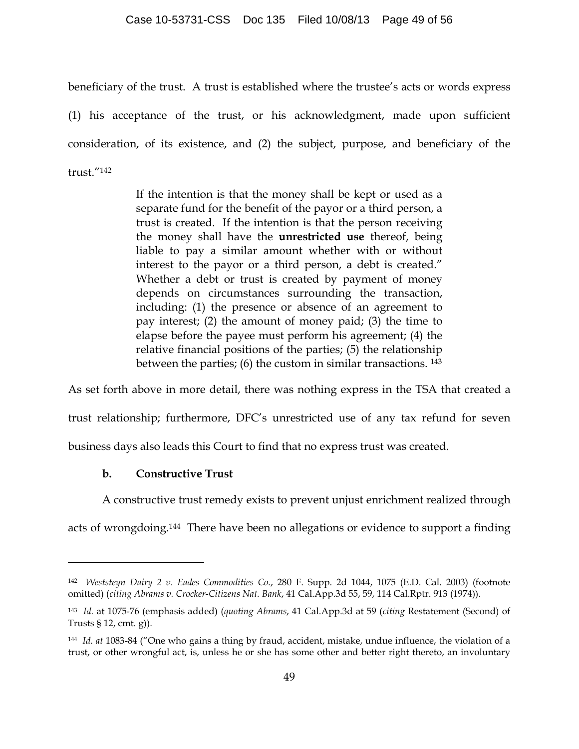#### Case 10-53731-CSS Doc 135 Filed 10/08/13 Page 49 of 56

beneficiary of the trust. A trust is established where the trustee's acts or words express

(1) his acceptance of the trust, or his acknowledgment, made upon sufficient consideration, of its existence, and (2) the subject, purpose, and beneficiary of the trust."142

> If the intention is that the money shall be kept or used as a separate fund for the benefit of the payor or a third person, a trust is created. If the intention is that the person receiving the money shall have the **unrestricted use** thereof, being liable to pay a similar amount whether with or without interest to the payor or a third person, a debt is created." Whether a debt or trust is created by payment of money depends on circumstances surrounding the transaction, including: (1) the presence or absence of an agreement to pay interest; (2) the amount of money paid; (3) the time to elapse before the payee must perform his agreement; (4) the relative financial positions of the parties; (5) the relationship between the parties; (6) the custom in similar transactions. 143

As set forth above in more detail, there was nothing express in the TSA that created a trust relationship; furthermore, DFC's unrestricted use of any tax refund for seven business days also leads this Court to find that no express trust was created.

## **b. Constructive Trust**

 $\overline{a}$ 

A constructive trust remedy exists to prevent unjust enrichment realized through

acts of wrongdoing.144 There have been no allegations or evidence to support a finding

<sup>142</sup> *Weststeyn Dairy 2 v. Eades Commodities Co.*, 280 F. Supp. 2d 1044, 1075 (E.D. Cal. 2003) (footnote omitted) (*citing Abrams v. Crocker-Citizens Nat. Bank*, 41 Cal.App.3d 55, 59, 114 Cal.Rptr. 913 (1974)).

<sup>143</sup> *Id.* at 1075-76 (emphasis added) (*quoting Abrams*, 41 Cal.App.3d at 59 (*citing* Restatement (Second) of Trusts § 12, cmt. g)).

<sup>144</sup> *Id. at* 1083-84 ("One who gains a thing by fraud, accident, mistake, undue influence, the violation of a trust, or other wrongful act, is, unless he or she has some other and better right thereto, an involuntary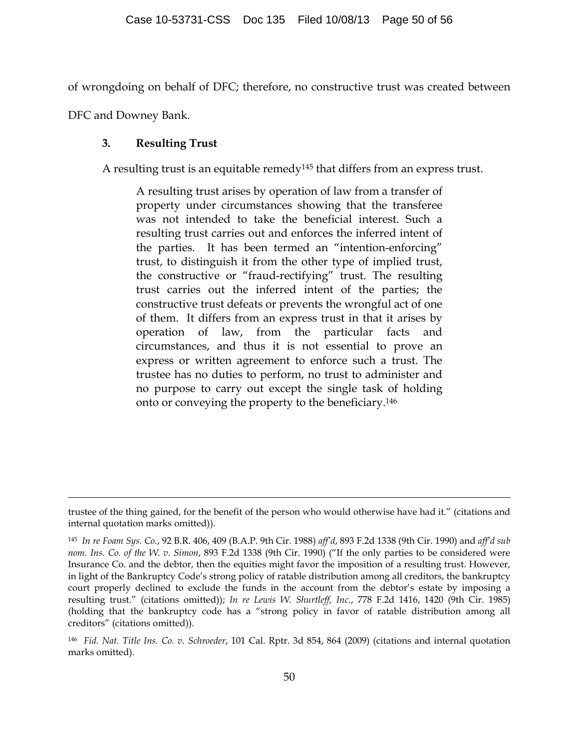of wrongdoing on behalf of DFC; therefore, no constructive trust was created between

DFC and Downey Bank.

 $\overline{a}$ 

## **3. Resulting Trust**

A resulting trust is an equitable remedy<sup>145</sup> that differs from an express trust.

A resulting trust arises by operation of law from a transfer of property under circumstances showing that the transferee was not intended to take the beneficial interest. Such a resulting trust carries out and enforces the inferred intent of the parties. It has been termed an "intention-enforcing" trust, to distinguish it from the other type of implied trust, the constructive or "fraud-rectifying" trust. The resulting trust carries out the inferred intent of the parties; the constructive trust defeats or prevents the wrongful act of one of them. It differs from an express trust in that it arises by operation of law, from the particular facts and circumstances, and thus it is not essential to prove an express or written agreement to enforce such a trust. The trustee has no duties to perform, no trust to administer and no purpose to carry out except the single task of holding onto or conveying the property to the beneficiary.146

trustee of the thing gained, for the benefit of the person who would otherwise have had it." (citations and internal quotation marks omitted)).

<sup>145</sup> *In re Foam Sys. Co.*, 92 B.R. 406, 409 (B.A.P. 9th Cir. 1988) *aff'd*, 893 F.2d 1338 (9th Cir. 1990) and *aff'd sub nom. Ins. Co. of the W. v. Simon*, 893 F.2d 1338 (9th Cir. 1990) ("If the only parties to be considered were Insurance Co. and the debtor, then the equities might favor the imposition of a resulting trust. However, in light of the Bankruptcy Code's strong policy of ratable distribution among all creditors, the bankruptcy court properly declined to exclude the funds in the account from the debtor's estate by imposing a resulting trust." (citations omitted)); *In re Lewis W. Shurtleff, Inc.*, 778 F.2d 1416, 1420 (9th Cir. 1985) (holding that the bankruptcy code has a "strong policy in favor of ratable distribution among all creditors" (citations omitted)).

<sup>146</sup> *Fid. Nat. Title Ins. Co. v. Schroeder*, 101 Cal. Rptr. 3d 854, 864 (2009) (citations and internal quotation marks omitted).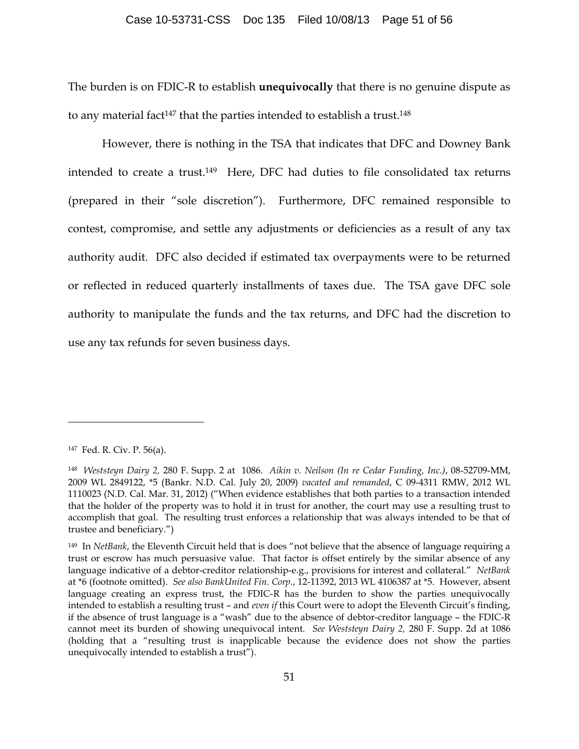The burden is on FDIC-R to establish **unequivocally** that there is no genuine dispute as to any material fact<sup>147</sup> that the parties intended to establish a trust.<sup>148</sup>

However, there is nothing in the TSA that indicates that DFC and Downey Bank intended to create a trust.149 Here, DFC had duties to file consolidated tax returns (prepared in their "sole discretion"). Furthermore, DFC remained responsible to contest, compromise, and settle any adjustments or deficiencies as a result of any tax authority audit. DFC also decided if estimated tax overpayments were to be returned or reflected in reduced quarterly installments of taxes due. The TSA gave DFC sole authority to manipulate the funds and the tax returns, and DFC had the discretion to use any tax refunds for seven business days.

<sup>147</sup> Fed. R. Civ. P. 56(a).

<sup>148</sup> *Weststeyn Dairy 2,* 280 F. Supp. 2 at 1086. *Aikin v. Neilson (In re Cedar Funding, Inc.)*, 08-52709-MM, 2009 WL 2849122, \*5 (Bankr. N.D. Cal. July 20, 2009) *vacated and remanded*, C 09-4311 RMW, 2012 WL 1110023 (N.D. Cal. Mar. 31, 2012) ("When evidence establishes that both parties to a transaction intended that the holder of the property was to hold it in trust for another, the court may use a resulting trust to accomplish that goal. The resulting trust enforces a relationship that was always intended to be that of trustee and beneficiary.")

<sup>149</sup> In *NetBank*, the Eleventh Circuit held that is does "not believe that the absence of language requiring a trust or escrow has much persuasive value. That factor is offset entirely by the similar absence of any language indicative of a debtor-creditor relationship-e.g., provisions for interest and collateral." *NetBank* at \*6 (footnote omitted). *See also BankUnited Fin. Corp.*, 12-11392, 2013 WL 4106387 at \*5. However, absent language creating an express trust, the FDIC-R has the burden to show the parties unequivocally intended to establish a resulting trust – and *even if* this Court were to adopt the Eleventh Circuit's finding, if the absence of trust language is a "wash" due to the absence of debtor-creditor language – the FDIC-R cannot meet its burden of showing unequivocal intent. *See Weststeyn Dairy 2,* 280 F. Supp. 2d at 1086 (holding that a "resulting trust is inapplicable because the evidence does not show the parties unequivocally intended to establish a trust").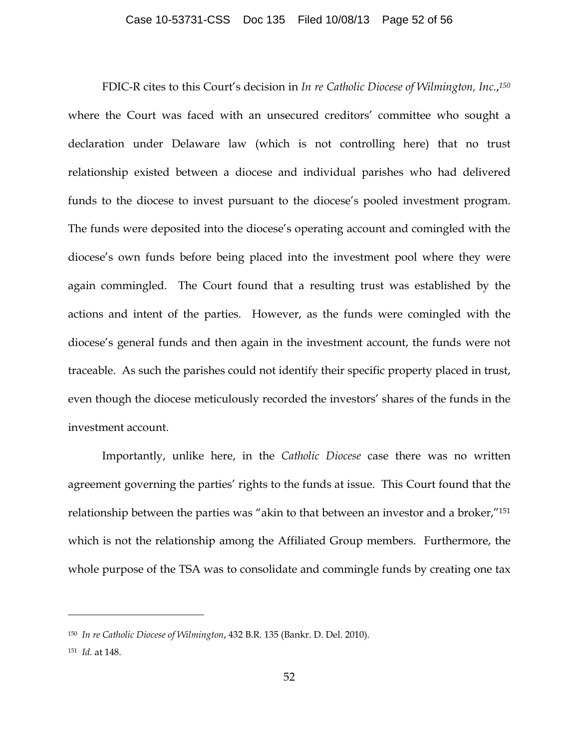#### Case 10-53731-CSS Doc 135 Filed 10/08/13 Page 52 of 56

FDIC-R cites to this Court's decision in *In re Catholic Diocese of Wilmington, Inc.*, *150* where the Court was faced with an unsecured creditors' committee who sought a declaration under Delaware law (which is not controlling here) that no trust relationship existed between a diocese and individual parishes who had delivered funds to the diocese to invest pursuant to the diocese's pooled investment program. The funds were deposited into the diocese's operating account and comingled with the diocese's own funds before being placed into the investment pool where they were again commingled. The Court found that a resulting trust was established by the actions and intent of the parties. However, as the funds were comingled with the diocese's general funds and then again in the investment account, the funds were not traceable. As such the parishes could not identify their specific property placed in trust, even though the diocese meticulously recorded the investors' shares of the funds in the investment account.

Importantly, unlike here, in the *Catholic Diocese* case there was no written agreement governing the parties' rights to the funds at issue. This Court found that the relationship between the parties was "akin to that between an investor and a broker,"151 which is not the relationship among the Affiliated Group members. Furthermore, the whole purpose of the TSA was to consolidate and commingle funds by creating one tax

<sup>150</sup> *In re Catholic Diocese of Wilmington*, 432 B.R. 135 (Bankr. D. Del. 2010).

<sup>151</sup> *Id.* at 148.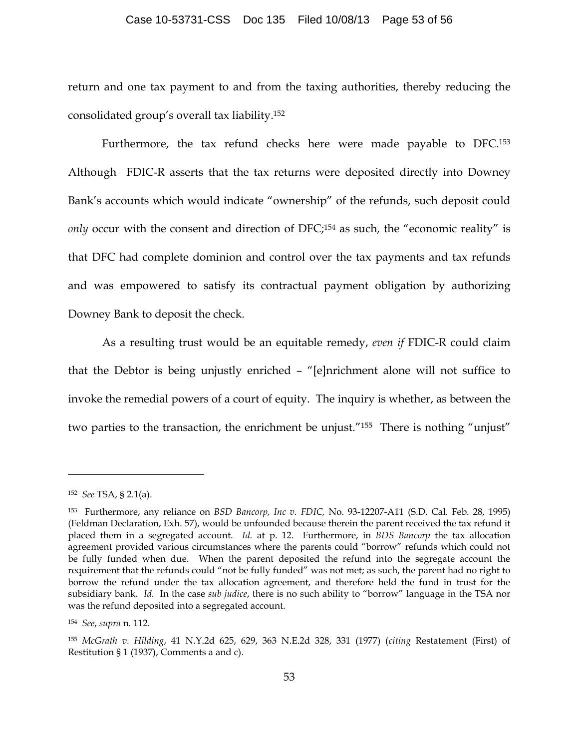#### Case 10-53731-CSS Doc 135 Filed 10/08/13 Page 53 of 56

return and one tax payment to and from the taxing authorities, thereby reducing the consolidated group's overall tax liability. 152

Furthermore, the tax refund checks here were made payable to DFC.<sup>153</sup> Although FDIC-R asserts that the tax returns were deposited directly into Downey Bank's accounts which would indicate "ownership" of the refunds, such deposit could *only* occur with the consent and direction of DFC;<sup>154</sup> as such, the "economic reality" is that DFC had complete dominion and control over the tax payments and tax refunds and was empowered to satisfy its contractual payment obligation by authorizing Downey Bank to deposit the check.

As a resulting trust would be an equitable remedy, *even if* FDIC-R could claim that the Debtor is being unjustly enriched – "[e]nrichment alone will not suffice to invoke the remedial powers of a court of equity. The inquiry is whether, as between the two parties to the transaction, the enrichment be unjust."155 There is nothing "unjust"

<sup>152</sup> *See* TSA, § 2.1(a).

<sup>153</sup> Furthermore, any reliance on *BSD Bancorp, Inc v. FDIC,* No. 93-12207-A11 (S.D. Cal. Feb. 28, 1995) (Feldman Declaration, Exh. 57), would be unfounded because therein the parent received the tax refund it placed them in a segregated account. *Id.* at p. 12. Furthermore, in *BDS Bancorp* the tax allocation agreement provided various circumstances where the parents could "borrow" refunds which could not be fully funded when due. When the parent deposited the refund into the segregate account the requirement that the refunds could "not be fully funded" was not met; as such, the parent had no right to borrow the refund under the tax allocation agreement, and therefore held the fund in trust for the subsidiary bank. *Id.* In the case *sub judice*, there is no such ability to "borrow" language in the TSA nor was the refund deposited into a segregated account.

<sup>154</sup> *See*, *supra* n. 112.

<sup>155</sup> *McGrath v. Hilding*, 41 N.Y.2d 625, 629, 363 N.E.2d 328, 331 (1977) (*citing* Restatement (First) of Restitution § 1 (1937), Comments a and c).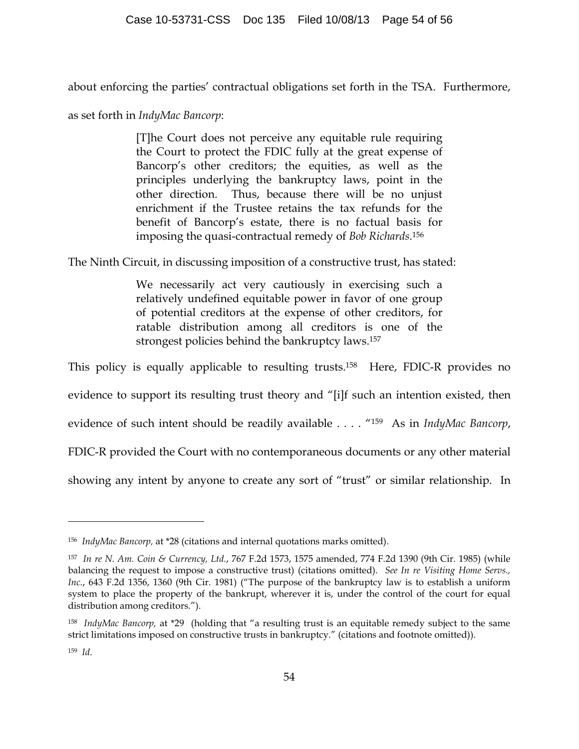about enforcing the parties' contractual obligations set forth in the TSA. Furthermore,

as set forth in *IndyMac Bancorp*:

 $\overline{a}$ 

[T]he Court does not perceive any equitable rule requiring the Court to protect the FDIC fully at the great expense of Bancorp's other creditors; the equities, as well as the principles underlying the bankruptcy laws, point in the other direction. Thus, because there will be no unjust enrichment if the Trustee retains the tax refunds for the benefit of Bancorp's estate, there is no factual basis for imposing the quasi-contractual remedy of *Bob Richards*.156

The Ninth Circuit, in discussing imposition of a constructive trust, has stated:

We necessarily act very cautiously in exercising such a relatively undefined equitable power in favor of one group of potential creditors at the expense of other creditors, for ratable distribution among all creditors is one of the strongest policies behind the bankruptcy laws.157

This policy is equally applicable to resulting trusts.158 Here, FDIC-R provides no evidence to support its resulting trust theory and "[i]f such an intention existed, then evidence of such intent should be readily available . . . . "159 As in *IndyMac Bancorp*, FDIC-R provided the Court with no contemporaneous documents or any other material showing any intent by anyone to create any sort of "trust" or similar relationship. In

<sup>156</sup> *IndyMac Bancorp,* at \*28 (citations and internal quotations marks omitted).

<sup>157</sup> *In re N. Am. Coin & Currency, Ltd.*, 767 F.2d 1573, 1575 amended, 774 F.2d 1390 (9th Cir. 1985) (while balancing the request to impose a constructive trust) (citations omitted). *See In re Visiting Home Servs., Inc.*, 643 F.2d 1356, 1360 (9th Cir. 1981) ("The purpose of the bankruptcy law is to establish a uniform system to place the property of the bankrupt, wherever it is, under the control of the court for equal distribution among creditors.").

<sup>158</sup> *IndyMac Bancorp,* at \*29 (holding that "a resulting trust is an equitable remedy subject to the same strict limitations imposed on constructive trusts in bankruptcy." (citations and footnote omitted)). 159 *Id*.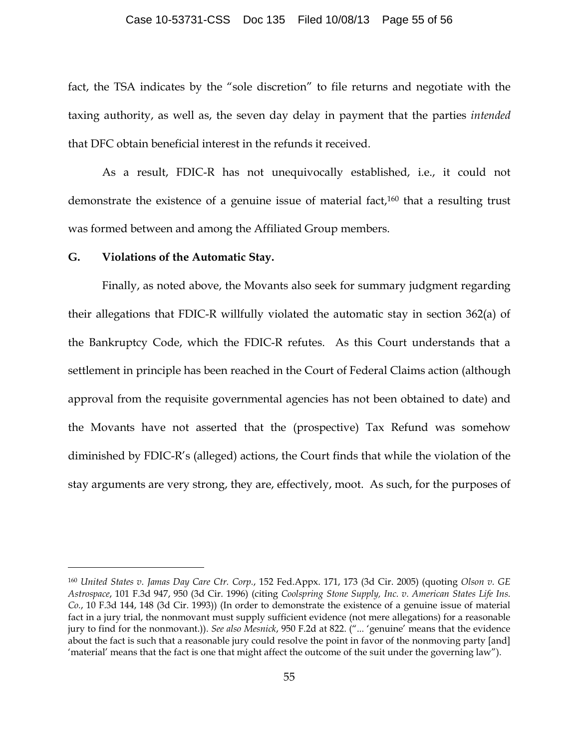#### Case 10-53731-CSS Doc 135 Filed 10/08/13 Page 55 of 56

fact, the TSA indicates by the "sole discretion" to file returns and negotiate with the taxing authority, as well as, the seven day delay in payment that the parties *intended* that DFC obtain beneficial interest in the refunds it received.

As a result, FDIC-R has not unequivocally established, i.e., it could not demonstrate the existence of a genuine issue of material fact, <sup>160</sup> that a resulting trust was formed between and among the Affiliated Group members.

### **G. Violations of the Automatic Stay.**

 $\overline{a}$ 

Finally, as noted above, the Movants also seek for summary judgment regarding their allegations that FDIC-R willfully violated the automatic stay in section 362(a) of the Bankruptcy Code, which the FDIC-R refutes. As this Court understands that a settlement in principle has been reached in the Court of Federal Claims action (although approval from the requisite governmental agencies has not been obtained to date) and the Movants have not asserted that the (prospective) Tax Refund was somehow diminished by FDIC-R's (alleged) actions, the Court finds that while the violation of the stay arguments are very strong, they are, effectively, moot. As such, for the purposes of

<sup>160</sup> *United States v. Jamas Day Care Ctr. Corp.*, 152 Fed.Appx. 171, 173 (3d Cir. 2005) (quoting *Olson v. GE Astrospace*, 101 F.3d 947, 950 (3d Cir. 1996) (citing *Coolspring Stone Supply, Inc. v. American States Life Ins. Co.*, 10 F.3d 144, 148 (3d Cir. 1993)) (In order to demonstrate the existence of a genuine issue of material fact in a jury trial, the nonmovant must supply sufficient evidence (not mere allegations) for a reasonable jury to find for the nonmovant.)). *See also Mesnick*, 950 F.2d at 822. ("... 'genuine' means that the evidence about the fact is such that a reasonable jury could resolve the point in favor of the nonmoving party [and] 'material' means that the fact is one that might affect the outcome of the suit under the governing law").